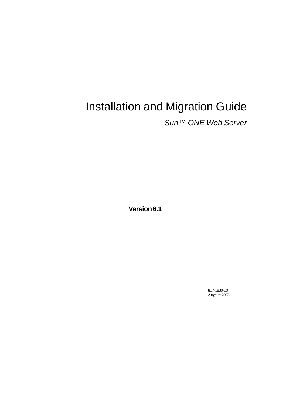# Installation and Migration Guide

Sun™ ONE Web Server

**Version 6.1**

817-1830-10 August 2003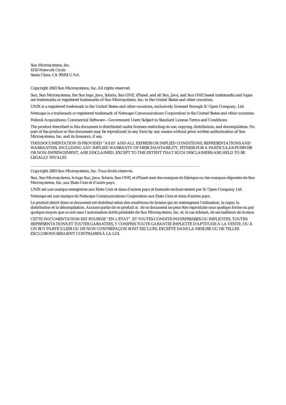Copyright 2003 Sun Microsystems, Inc. All rights reserved.

Sun, Sun Microsystems, the Sun logo, Java, Solaris, Sun ONE, iPlanet, and all Sun, Java, and Sun ONE based trademarks and logos are trademarks or registered trademarks of Sun Microsystems, Inc. in the United States and other countries.

UNIX is a registered trademark in the United States and other countries, exclusively licensed through X/Open Company, Ltd.

Netscape is a trademark or registered trademark of Netscape Communications Corporation in the United States and other countries.

Federal Acquisitions: Commercial Software—Government Users Subject to Standard License Terms and Conditions

The product described in this document is distributed under licenses restricting its use, copying, distribution, and decompilation. No part of the product or this document may be reproduced in any form by any means without prior written authorization of Sun Microsystems, Inc. and its licensors, if any.

THIS DOCUMENTATION IS PROVIDED "AS IS" AND ALL EXPRESS OR IMPLIED CONDITIONS, REPRESENTATIONS AND WARRANTIES, INCLUDING ANY IMPLIED WARRANTY OF MERCHANTABILITY, FITNESS FOR A PARTICULAR PURPOSE OR NON-INFRINGEMENT, ARE DISCLAIMED, EXCEPT TO THE EXTENT THAT SUCH DISCLAIMERS ARE HELD TO BE LEGALLY INVALID.

Copyright 2003 Sun Microsystems, Inc. Tous droits réservés.

Sun, Sun Microsystems, le logo Sun, Java, Solaris, Sun ONE, et iPlanet sont des marques de fabrique ou des marques déposées de Sun Microsystems, Inc. aux Etats-Unis et d'autre pays.

UNIX est une marque enregistree aux Etats-Unis et dans d'autres pays et licenciée exclusivement par X/Open Company Ltd.

Netscape est une marque de Netscape Communications Corporation aux Etats-Unis et dans d'autres pays.

\_\_\_\_\_\_\_\_\_\_\_\_\_\_\_\_\_\_\_\_\_\_\_\_\_\_\_\_\_\_\_\_\_\_\_\_\_\_\_\_\_\_\_\_\_\_\_\_\_\_\_\_\_\_\_\_\_\_\_\_\_\_\_\_\_\_\_\_\_\_\_\_\_\_\_\_\_\_\_\_\_\_\_\_\_\_\_\_

Le produit décrit dans ce document est distribué selon des conditions de licence qui en restreignent l'utilisation, la copie, la distribution et la décompilation. Aucune partie de ce produit ni de ce document ne peut être reproduite sous quelque forme ou par quelque moyen que ce soit sans l'autorisation écrite préalable de Sun Microsystems, Inc. et, le cas échéant, de ses bailleurs de licence.

CETTE DOCUMENTATION EST FOURNIE "EN L'ÉTAT", ET TOUTES CONDITIONS EXPRESSES OU IMPLICITES, TOUTES REPRÉSENTATIONS ET TOUTES GARANTIES, Y COMPRIS TOUTE GARANTIE IMPLICITE D'APTITUDE À LA VENTE, OU À UN BUT PARTICULIER OU DE NON CONTREFAÇON SONT EXCLUES, EXCEPTÉ DANS LA MESURE OÙ DE TELLES EXCLUSIONS SERAIENT CONTRAIRES À LA LOI.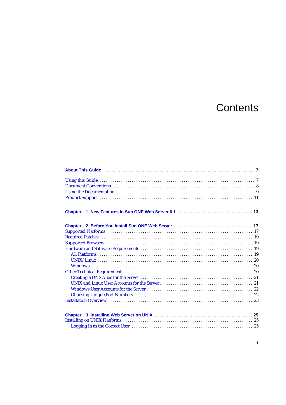# **Contents**

| <b>Chapter</b> |  |
|----------------|--|
|                |  |
|                |  |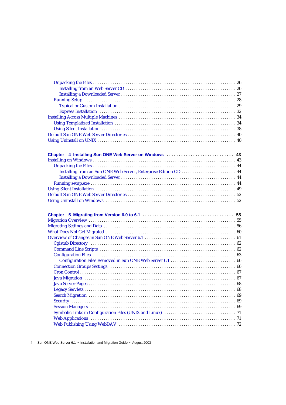| <b>Chapter</b> |
|----------------|
|                |
|                |
|                |
|                |
|                |
|                |
|                |
|                |
|                |
|                |
|                |
|                |
|                |
|                |
|                |
|                |
|                |
|                |
|                |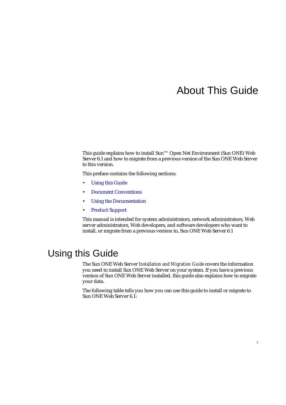# About This Guide

<span id="page-6-0"></span>This guide explains how to install Sun™ Open Net Environment (Sun ONE) Web Server 6.1 and how to migrate from a previous version of the Sun ONE Web Server to this version.

This preface contains the following sections:

- [Using this Guide](#page-6-1)
- [Document Conventions](#page-7-0)
- [Using the Documentation](#page-8-0)
- [Product Support](#page-10-0)

This manual is intended for system administrators, network administrators, Web server administrators, Web developers, and software developers who want to install, or migrate from a previous version to, Sun ONE Web Server 6.1

## <span id="page-6-1"></span>Using this Guide

The Sun ONE Web Server *Installation and Migration Guide* covers the information you need to install Sun ONE Web Server on your system. If you have a previous version of Sun ONE Web Server installed, this guide also explains how to migrate your data.

The following table tells you how you can use this guide to install or migrate to Sun ONE Web Server 6.1: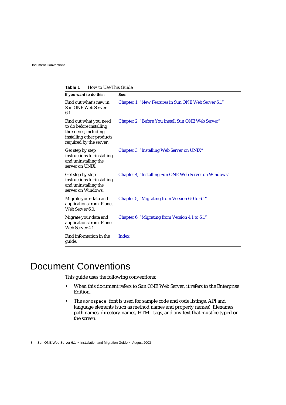| If you want to do this:                                                                                                            | See:                                                  |
|------------------------------------------------------------------------------------------------------------------------------------|-------------------------------------------------------|
| Find out what's new in<br><b>Sun ONE Web Server</b><br>6.1.                                                                        | Chapter 1, "New Features in Sun ONE Web Server 6.1"   |
| Find out what you need<br>to do before installing<br>the server, including<br>installing other products<br>required by the server. | Chapter 2, "Before You Install Sun ONE Web Server"    |
| Get step by step<br>instructions for installing<br>and uninstalling the<br>server on UNIX.                                         | Chapter 3, "Installing Web Server on UNIX"            |
| Get step by step<br>instructions for installing<br>and uninstalling the<br>server on Windows.                                      | Chapter 4, "Installing Sun ONE Web Server on Windows" |
| Migrate your data and<br>applications from iPlanet<br>Web Server 6.0.                                                              | Chapter 5, "Migrating from Version 6.0 to 6.1"        |
| Migrate your data and<br>applications from iPlanet<br>Web Server 4.1.                                                              | Chapter 6, "Migrating from Version 4.1 to 6.1"        |
| Find information in the<br>guide.                                                                                                  | <b>Index</b>                                          |

**Table 1** How to Use This Guide

## <span id="page-7-0"></span>Document Conventions

This guide uses the following conventions:

- When this document refers to Sun ONE Web Server, it refers to the Enterprise Edition.
- The monospace font is used for sample code and code listings, API and language elements (such as method names and property names), filenames, path names, directory names, HTML tags, and any text that must be typed on the screen.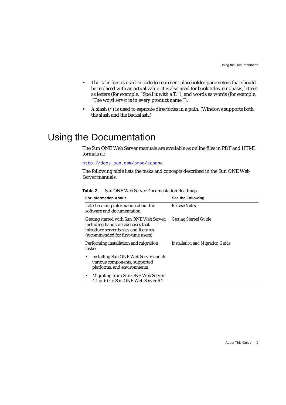- The *italic* font is used in code to represent placeholder parameters that should be replaced with an actual value. It is also used for book titles, emphasis, letters as letters (for example, "Spell it with a *T*."), and words as words (for example, "The word *server* is in every product name.").
- A slash  $\binom{7}{1}$  is used to separate directories in a path. (Windows supports both the slash and the backslash.)

## <span id="page-8-0"></span>Using the Documentation

The Sun ONE Web Server manuals are available as online files in PDF and HTML formats at:

#### http://docs.sun.com/prod/sunone

The following table lists the tasks and concepts described in the Sun ONE Web Server manuals.

| <b>For Information About</b>                                                                                                                                | See the Following                       |
|-------------------------------------------------------------------------------------------------------------------------------------------------------------|-----------------------------------------|
| Late-breaking information about the<br>software and documentation                                                                                           | <b>Release Notes</b>                    |
| Getting started with Sun ONE Web Server,<br>including hands-on exercises that<br>introduce server basics and features<br>(recommended for first-time users) | <b>Getting Started Guide</b>            |
| Performing installation and migration<br>tasks:                                                                                                             | <b>Installation and Migration Guide</b> |
| Installing Sun ONE Web Server and its<br>various components, supported<br>platforms, and environments                                                       |                                         |
| Migrating from Sun ONE Web Server<br>4.1 or 6.0 to Sun ONE Web Server 6.1                                                                                   |                                         |

**Table 2** Sun ONE Web Server Documentation Roadmap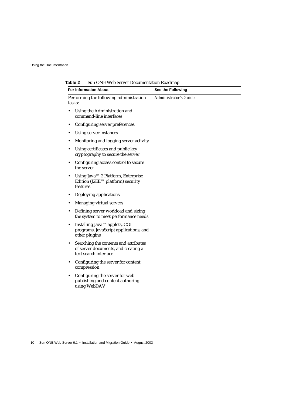| <b>For Information About</b>                                                                               | See the Following     |  |  |
|------------------------------------------------------------------------------------------------------------|-----------------------|--|--|
| Performing the following administration<br>tasks:                                                          | Administrator's Guide |  |  |
| Using the Administration and<br>٠<br>command-line interfaces                                               |                       |  |  |
| Configuring server preferences<br>٠                                                                        |                       |  |  |
| Using server instances                                                                                     |                       |  |  |
| Monitoring and logging server activity                                                                     |                       |  |  |
| Using certificates and public key<br>٠<br>cryptography to secure the server                                |                       |  |  |
| Configuring access control to secure<br>٠<br>the server                                                    |                       |  |  |
| Using Java™ 2 Platform, Enterprise<br>Edition (J2EE™ platform) security<br>features                        |                       |  |  |
| Deploying applications<br>٠                                                                                |                       |  |  |
| Managing virtual servers                                                                                   |                       |  |  |
| Defining server workload and sizing<br>the system to meet performance needs                                |                       |  |  |
| Installing Java™ applets, CGI<br>۰<br>programs, JavaScript applications, and<br>other plugins              |                       |  |  |
| Searching the contents and attributes<br>٠<br>of server documents, and creating a<br>text search interface |                       |  |  |
| Configuring the server for content<br>٠<br>compression                                                     |                       |  |  |
| Configuring the server for web<br>٠<br>publishing and content authoring<br>using WebDAV                    |                       |  |  |

#### **Table 2** Sun ONE Web Server Documentation Roadmap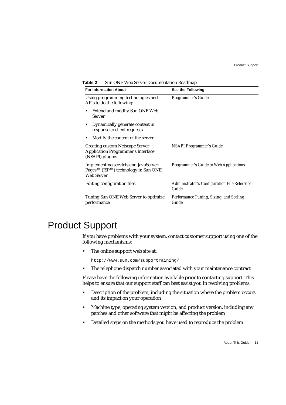| <b>For Information About</b>                                                                           | See the Following                                            |  |  |
|--------------------------------------------------------------------------------------------------------|--------------------------------------------------------------|--|--|
| Using programming technologies and<br>APIs to do the following:                                        | Programmer's Guide                                           |  |  |
| Extend and modify Sun ONE Web<br>٠<br>Server                                                           |                                                              |  |  |
| Dynamically generate content in<br>response to client requests                                         |                                                              |  |  |
| Modify the content of the server<br>٠                                                                  |                                                              |  |  |
| <b>Creating custom Netscape Server</b><br><b>Application Programmer's Interface</b><br>(NSAPI) plugins | <b>NSAPI Programmer's Guide</b>                              |  |  |
| Implementing servlets and JavaServer<br>Pages <sup>™</sup> (JSP™) technology in Sun ONE<br>Web Server  | <b>Programmer's Guide to Web Applications</b>                |  |  |
| Editing configuration files                                                                            | <b>Administrator's Configuration File Reference</b><br>Guide |  |  |
| Tuning Sun ONE Web Server to optimize<br>performance                                                   | Performance Tuning, Sizing, and Scaling<br>Guide             |  |  |

Table 2 Sun ONE Web Server Documentation Roadmap

## <span id="page-10-0"></span>Product Support

If you have problems with your system, contact customer support using one of the following mechanisms:

• The online support web site at:

http://www.sun.com/supportraining/

• The telephone dispatch number associated with your maintenance contract

Please have the following information available prior to contacting support. This helps to ensure that our support staff can best assist you in resolving problems:

- Description of the problem, including the situation where the problem occurs and its impact on your operation
- Machine type, operating system version, and product version, including any patches and other software that might be affecting the problem
- Detailed steps on the methods you have used to reproduce the problem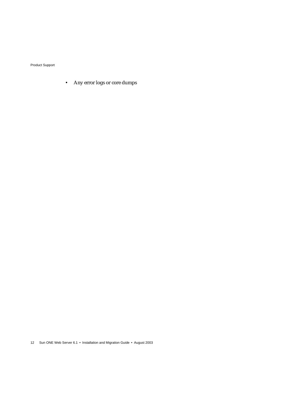• Any error logs or core dumps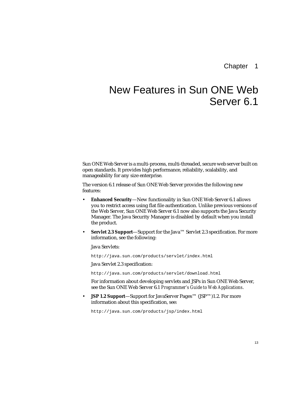# <span id="page-12-2"></span><span id="page-12-1"></span><span id="page-12-0"></span>New Features in Sun ONE Web Server 6.1

Sun ONE Web Server is a multi-process, multi-threaded, secure web server built on open standards. It provides high performance, reliability, scalability, and manageability for any size enterprise.

The version 6.1 release of Sun ONE Web Server provides the following new features:

- **Enhanced Security**—New functionality in Sun ONE Web Server 6.1 allows you to restrict access using flat file authentication. Unlike previous versions of the Web Server, Sun ONE Web Server 6.1 now also supports the Java Security Manager. The Java Security Manager is disabled by default when you install the product.
- **Servlet 2.3 Support**—Support for the Java™ Servlet 2.3 specification. For more information, see the following:

Java Servlets:

http://java.sun.com/products/servlet/index.html

Java Servlet 2.3 specification:

http://java.sun.com/products/servlet/download.html

For information about developing servlets and JSPs in Sun ONE Web Server, see the Sun ONE Web Server 6.1 *Programmer's Guide to Web Applications*.

• **JSP 1.2 Support**—Support for JavaServer Pages™ (JSP™)1.2. For more information about this specification, see:

http://java.sun.com/products/jsp/index.html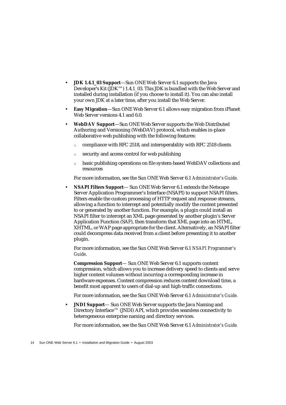- **JDK 1.4.1\_03 Support**—Sun ONE Web Server 6.1 supports the Java Developer's Kit (JDK™) 1.4.1\_03. This JDK is bundled with the Web Server and installed during installation (if you choose to install it). You can also install your own JDK at a later time, after you install the Web Server.
- **Easy Migration**—Sun ONE Web Server 6.1 allows easy migration from iPlanet Web Server versions 4.1 and 6.0.
- **WebDAV Support**—Sun ONE Web Server supports the Web Distributed Authoring and Versioning (WebDAV) protocol, which enables in-place collaborative web publishing with the following features:
	- $\circ$  compliance with RFC 2518, and interoperability with RFC 2518 clients
	- ❍ security and access control for web publishing
	- ❍ basic publishing operations on file system-based WebDAV collections and resources

For more information, see the Sun ONE Web Server 6.1 *Administrator's Guide*.

• **NSAPI Filters Support**— Sun ONE Web Server 6.1 extends the Netscape Server Application Programmer's Interface (NSAPI) to support NSAPI filters. Filters enable the custom processing of HTTP request and response streams, allowing a function to intercept and potentially modify the content presented to or generated by another function. For example, a plugin could install an NSAPI filter to intercept an XML page generated by another plugin's Server Application Function (SAF), then transform that XML page into an HTML, XHTML, or WAP page appropriate for the client. Alternatively, an NSAPI filter could decompress data received from a client before presenting it to another plugin.

For more information, see the Sun ONE Web Server 6.1 *NSAPI Programmer's Guide*.

**Compression Support**— Sun ONE Web Server 6.1 supports content compression, which allows you to increase delivery speed to clients and serve higher content volumes without incurring a corresponding increase in hardware expenses. Content compression reduces content download time, a benefit most apparent to users of dial-up and high-traffic connections.

For more information, see the Sun ONE Web Server 6.1 *Administrator's Guide.*

• **JNDI Support**— Sun ONE Web Server supports the Java Naming and Directory Interface™ (JNDI) API, which provides seamless connectivity to heterogeneous enterprise naming and directory services.

For more information, see the Sun ONE Web Server 6.1 *Administrator's Guide.*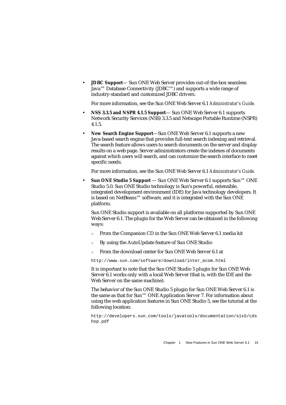• **JDBC Support**— Sun ONE Web Server provides out-of-the-box seamless Java™ Database Connectivity (JDBC™) and supports a wide range of industry-standard and customized JDBC drivers.

For more information, see the Sun ONE Web Server 6.1 *Administrator's Guide.*

- **NSS 3.3.5 and NSPR 4.1.5 Support** Sun ONE Web Server 6.1 supports Network Security Services (NSS) 3.3.5 and Netscape Portable Runtime (NSPR) 4.1.5.
- **New Search Engine Support**—Sun ONE Web Server 6.1 supports a new Java-based search engine that provides full-text search indexing and retrieval. The search feature allows users to search documents on the server and display results on a web page. Server administrators create the indexes of documents against which users will search, and can customize the search interface to meet specific needs.

For more information, see the Sun ONE Web Server 6.1 *Administrator's Guide.*

• **Sun ONE Studio 5 Support** — Sun ONE Web Server 6.1 supports Sun™ ONE Studio 5.0. Sun ONE Studio technology is Sun's powerful, extensible, integrated development environment (IDE) for Java technology developers. It is based on NetBeans™ software, and it is integrated with the Sun ONE platform.

Sun ONE Studio support is available on all platforms supported by Sun ONE Web Server 6.1. The plugin for the Web Server can be obtained in the following ways:

- ❍ From the Companion CD in the Sun ONE Web Server 6.1 media kit
- ❍ By using the AutoUpdate feature of Sun ONE Studio
- ❍ From the download center for Sun ONE Web Server 6.1 at

http://www.sun.com/software/download/inter\_ecom.html

It is important to note that the Sun ONE Studio 5 plugin for Sun ONE Web Server 6.1 works only with a local Web Server (that is, with the IDE and the Web Server on the same machine).

The behavior of the Sun ONE Studio 5 plugin for Sun ONE Web Server 6.1 is the same as that for Sun™ ONE Application Server 7. For information about using the web application features in Sun ONE Studio 5, see the tutorial at the following location:

http://developers.sun.com/tools/javatools/documentation/s1s5/cds hop.pdf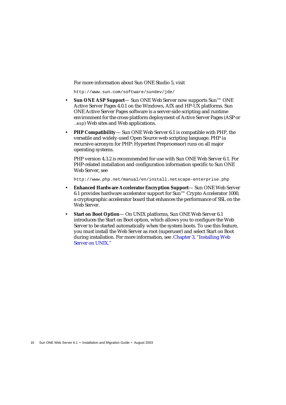For more information about Sun ONE Studio 5, visit

http://www.sun.com/software/sundev/jde/

- **Sun ONE ASP Support** Sun ONE Web Server now supports Sun™ ONE Active Server Pages 4.0.1 on the Windows, AIX and HP-UX platforms. Sun ONE Active Server Pages software is a server-side scripting and runtime environment for the cross-platform deployment of Active Server Pages (ASP or .asp) Web sites and Web applications.
- **PHP Compatibility** Sun ONE Web Server 6.1 is compatible with PHP, the versatile and widely-used Open Source web scripting language. PHP (a recursive acronym for PHP: Hypertext Preprocessor) runs on all major operating systems.

PHP version 4.3.2 is recommended for use with Sun ONE Web Server 6.1. For PHP-related installation and configuration information specific to Sun ONE Web Server, see

http://www.php.net/manual/en/install.netscape-enterprise.php

- **Enhanced Hardware Accelerator Encryption Support** Sun ONE Web Server 6.1 provides hardware accelerator support for Sun™ Crypto Accelerator 1000, a cryptographic accelerator board that enhances the performance of SSL on the Web Server.
- **Start on Boot Option** On UNIX platforms, Sun ONE Web Server 6.1 introduces the Start on Boot option, which allows you to configure the Web Server to be started automatically when the system boots. To use this feature, you must install the Web Server as root (superuser) and select Start on Boot during installation. For more information, see [.Chapter 3, "Installing Web](#page-24-4)  [Server on UNIX."](#page-24-4)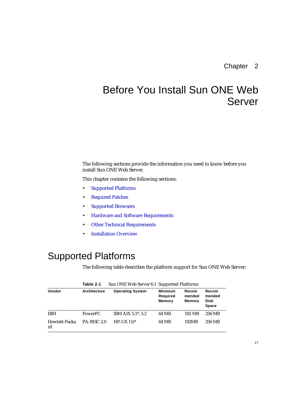# <span id="page-16-3"></span><span id="page-16-1"></span><span id="page-16-0"></span>Before You Install Sun ONE Web Server

The following sections provide the information you need to know before you install Sun ONE Web Server.

This chapter contains the following sections:

- [Supported Platforms](#page-16-2)
- [Required Patches](#page-18-0)
- [Supported Browsers](#page-18-1)
- [Hardware and Software Requirements](#page-18-2)
- [Other Technical Requirements](#page-19-2)
- [Installation Overview](#page-22-0)

## <span id="page-16-2"></span>Supported Platforms

The following table describes the platform support for Sun ONE Web Server:

| Vendor              | <b>Architecture</b> | <b>Operating System</b> | <b>Minimum</b><br><b>Required</b><br><b>Memory</b> | Recom<br>mended<br><b>Memory</b> | Recom<br>mended<br>Disk<br><b>Space</b> |
|---------------------|---------------------|-------------------------|----------------------------------------------------|----------------------------------|-----------------------------------------|
| <b>IBM</b>          | PowerPC             | IBM AIX $5.1^*$ , $5.2$ | 64 MB                                              | 192 MB                           | 256 MB                                  |
| Hewlett-Packa<br>rd | PA-RISC 2.0         | $HP-UX 11i*$            | 64 MB                                              | 192MB                            | 256 MB                                  |

**Table 2-1** Sun ONE Web Server 6.1 Supported Platforms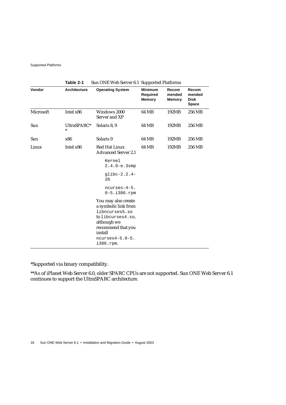| Vendor    | <b>Architecture</b>   | <b>Operating System</b>                                                                                                                                              | <b>Minimum</b><br>Required<br>Memory | Recom<br>mended<br>Memory | Recom<br>mended<br>Disk<br>Space |
|-----------|-----------------------|----------------------------------------------------------------------------------------------------------------------------------------------------------------------|--------------------------------------|---------------------------|----------------------------------|
| Microsoft | Intel x86             | Windows 2000<br>Server and XP                                                                                                                                        | 64 MB                                | 192MB                     | 256 MB                           |
| Sun       | UltraSPARC*<br>$\ast$ | Solaris 8, 9                                                                                                                                                         | 64 MB                                | 192MB                     | 256 MB                           |
| Sun       | x86                   | Solaris 9                                                                                                                                                            | 64 MB                                | 192MB                     | 256 MB                           |
| Linux     | Intel x86             | <b>Red Hat Linux</b><br><b>Advanced Server 2.1</b>                                                                                                                   | 64 MB                                | 192MB                     | 256 MB                           |
|           |                       | Kernel<br>$2.4.9 - e.3$ smp                                                                                                                                          |                                      |                           |                                  |
|           |                       | $glibe-2.2.4-$<br>26                                                                                                                                                 |                                      |                           |                                  |
|           |                       | ncurses-4-5.<br>$0 - 5.1386$ .rpm                                                                                                                                    |                                      |                           |                                  |
|           |                       | You may also create<br>a symbolic link from<br>libncurses5.so<br>to libcurses4.so,<br>although we<br>recommend that you<br>install<br>$ncurses4-5.0-5.$<br>i386.rpm. |                                      |                           |                                  |

**Table 2-1** Sun ONE Web Server 6.1 Supported Platforms

\*Supported via binary compatibility.

\*\*As of iPlanet Web Server 6.0, older SPARC CPUs are not supported. Sun ONE Web Server 6.1 continues to support the UltraSPARC architecture.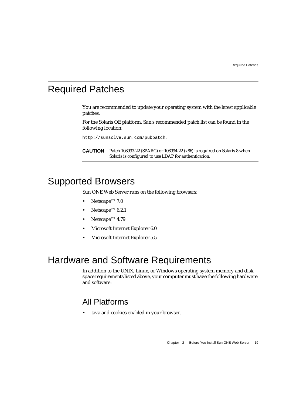## <span id="page-18-0"></span>Required Patches

You are recommended to update your operating system with the latest applicable patches.

For the Solaris OE platform, Sun's recommended patch list can be found in the following location:

http://sunsolve.sun.com/pubpatch.

**CAUTION** Patch 108993-22 (SPARC) or 108994-22 (x86) is required on Solaris 8 when Solaris is configured to use LDAP for authentication.

## <span id="page-18-1"></span>Supported Browsers

Sun ONE Web Server runs on the following browsers:

- Netscape<sup>™</sup> 7.0
- Netscape<sup>™</sup> 6.2.1
- Netscape<sup>™</sup> 4.79
- Microsoft Internet Explorer 6.0
- Microsoft Internet Explorer 5.5

### <span id="page-18-2"></span>Hardware and Software Requirements

In addition to the UNIX, Linux, or Windows operating system memory and disk space requirements listed above, your computer must have the following hardware and software:

#### <span id="page-18-3"></span>All Platforms

• Java and cookies enabled in your browser.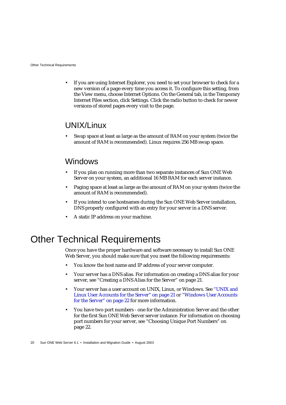• If you are using Internet Explorer, you need to set your browser to check for a new version of a page every time you access it. To configure this setting, from the View menu, choose Internet Options. On the General tab, in the Temporary Internet Files section, click Settings. Click the radio button to check for newer versions of stored pages every visit to the page.

### <span id="page-19-0"></span>UNIX/Linux

• Swap space at least as large as the amount of RAM on your system (twice the amount of RAM is recommended). Linux requires 256 MB swap space.

#### <span id="page-19-1"></span>Windows

- If you plan on running more than two separate instances of Sun ONE Web Server on your system, an additional 16 MB RAM for each server instance.
- Paging space at least as large as the amount of RAM on your system (twice the amount of RAM is recommended).
- If you intend to use hostnames during the Sun ONE Web Server installation, DNS properly configured with an entry for your server in a DNS server.
- A static IP address on your machine.

## <span id="page-19-2"></span>Other Technical Requirements

Once you have the proper hardware and software necessary to install Sun ONE Web Server, you should make sure that you meet the following requirements:

- You know the host name and IP address of your server computer.
- Your server has a DNS alias. For information on creating a DNS alias for your server, see ["Creating a DNS Alias for the Server" on page 21.](#page-20-0)
- Your server has a user account on UNIX, Linux, or Windows. See ["UNIX and](#page-20-1)  [Linux User Accounts for the Server" on page 21](#page-20-1) or ["Windows User Accounts](#page-21-0)  [for the Server" on page 22](#page-21-0) for more information.
- You have two port numbers one for the Administration Server and the other for the first Sun ONE Web Server server instance. For information on choosing port numbers for your server, see ["Choosing Unique Port Numbers" on](#page-21-1)  [page 22](#page-21-1).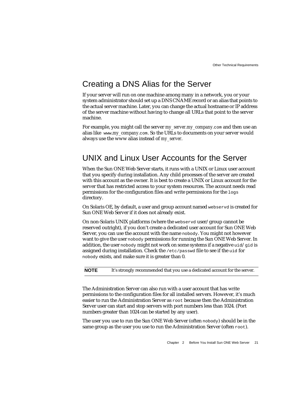### <span id="page-20-0"></span>Creating a DNS Alias for the Server

If your server will run on one machine among many in a network, you or your system administrator should set up a DNS CNAME record or an alias that points to the actual server machine. Later, you can change the actual hostname or IP address of the server machine without having to change all URLs that point to the server machine.

For example, you might call the server *my\_server.my\_company.*com and then use an alias like www.*my\_company.*com. So the URLs to documents on your server would always use the www alias instead of *my\_server*.

#### <span id="page-20-1"></span>UNIX and Linux User Accounts for the Server

When the Sun ONE Web Server starts, it runs with a UNIX or Linux user account that you specify during installation. Any child processes of the server are created with this account as the owner. It is best to create a UNIX or Linux account for the server that has restricted access to your system resources. The account needs read permissions for the configuration files and write permissions for the  $\log s$ directory.

On Solaris OE, by default, a user and group account named webservd is created for Sun ONE Web Server if it does not already exist.

On non-Solaris UNIX platforms (where the webservd user/group cannot be reserved outright), if you don't create a dedicated user account for Sun ONE Web Server, you can use the account with the name nobody. You might not however want to give the user nobody permissions for running the Sun ONE Web Server. In addition, the user nobody might not work on some systems if a negative  $uid/gid$  is assigned during installation. Check the /etc/passwd file to see if the uid for nobody exists, and make sure it is greater than 0.

**NOTE** It's strongly recommended that you use a dedicated account for the server.

The Administration Server can also run with a user account that has write permissions to the configuration files for all installed servers. However, it's much easier to run the Administration Server as root because then the Administration Server user can start and stop servers with port numbers less than 1024. (Port numbers greater than 1024 can be started by any user).

The user you use to run the Sun ONE Web Server (often nobody) should be in the same group as the user you use to run the Administration Server (often root).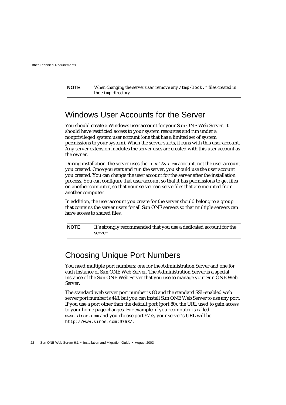**NOTE** When changing the server user, remove any /tmp/lock. \* files created in the /tmp directory.

#### <span id="page-21-0"></span>Windows User Accounts for the Server

You should create a Windows user account for your Sun ONE Web Server. It should have restricted access to your system resources and run under a nonprivileged system user account (one that has a limited set of system permissions to your system). When the server starts, it runs with this user account. Any server extension modules the server uses are created with this user account as the owner.

During installation, the server uses the LocalSystem account, not the user account you created. Once you start and run the server, you should use the user account you created. You can change the user account for the server after the installation process. You can configure that user account so that it has permissions to get files on another computer, so that your server can serve files that are mounted from another computer.

In addition, the user account you create for the server should belong to a group that contains the server users for all Sun ONE servers so that multiple servers can have access to shared files.

**NOTE** It's strongly recommended that you use a dedicated account for the server.

### <span id="page-21-2"></span><span id="page-21-1"></span>Choosing Unique Port Numbers

You need multiple port numbers: one for the Administration Server and one for each instance of Sun ONE Web Server. The Administration Server is a special instance of the Sun ONE Web Server that you use to manage your Sun ONE Web Server.

The standard web server port number is 80 and the standard SSL-enabled web server port number is 443, but you can install Sun ONE Web Server to use any port. If you use a port other than the default port (port 80), the URL used to gain access to your home page changes. For example, if your computer is called www.siroe.com and you choose port 9753, your server's URL will be http://www.siroe.com:9753/.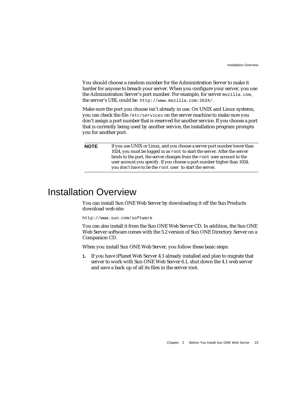You should choose a random number for the Administration Server to make it harder for anyone to breach your server. When you configure your server, you use the Administration Server's port number. For example, for server mozilla.com, the server's URL could be http://www.mozilla.com:2634/.

Make sure the port you choose isn't already in use. On UNIX and Linux systems, you can check the file /etc/services on the server machine to make sure you don't assign a port number that is reserved for another service. If you choose a port that is currently being used by another service, the installation program prompts you for another port.

```
NOTE If you use UNIX or Linux, and you choose a server port number lower than
  1024, you must be logged in as root to start the server. After the server 
 binds to the port, the server changes from the root user account to the 
 user account you specify. If you choose a port number higher than 1024, 
 you don't have to be the root user to start the server.
```
### <span id="page-22-0"></span>Installation Overview

You can install Sun ONE Web Server by downloading it off the Sun Products download web site:

http://www.sun.com/software

You can also install it from the Sun ONE Web Server CD. In addition, the Sun ONE Web Server software comes with the 5.2 version of Sun ONE Directory Server on a Companion CD.

When you install Sun ONE Web Server, you follow these basic steps:

**1.** If you have iPlanet Web Server 4.1 already installed and plan to migrate that server to work with Sun ONE Web Server 6.1, shut down the 4.1 web server and save a back up of all its files in the server root.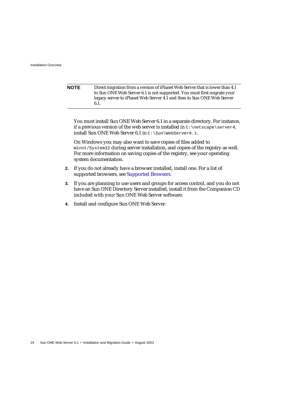**NOTE** Direct migration from a version of iPlanet Web Server that is lower than 4.1 to Sun ONE Web Server 6.1 is not supported. You must first migrate your legacy server to iPlanet Web Server 4.1 and then to Sun ONE Web Server 6.1.

You must install Sun ONE Web Server 6.1 in a separate directory. For instance, if a previous version of the web server is installed in  $C:\net \, sequence\, \, server4$ , install Sun ONE Web Server 6.1 in C:\Sun\WebServer6.1.

On Windows you may also want to save copies of files added to Winnt/System32 during server installation, and copies of the registry as well. For more information on saving copies of the registry, see your operating system documentation.

- **2.** If you do not already have a browser installed, install one. For a list of supported browsers, see [Supported Browsers.](#page-18-1)
- **3.** If you are planning to use users and groups for access control, and you do not have an Sun ONE Directory Server installed, install it from the Companion CD included with your Sun ONE Web Server software.
- **4.** Install and configure Sun ONE Web Server.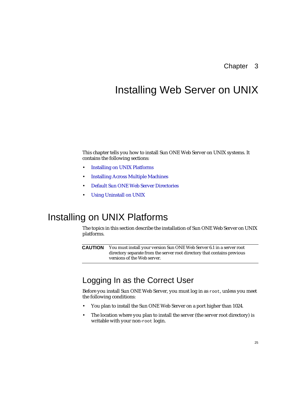# <span id="page-24-4"></span><span id="page-24-1"></span><span id="page-24-0"></span>Installing Web Server on UNIX

This chapter tells you how to install Sun ONE Web Server on UNIX systems. It contains the following sections:

- [Installing on UNIX Platforms](#page-24-2)
- [Installing Across Multiple Machines](#page-33-0)
- [Default Sun ONE Web Server Directories](#page-39-0)
- [Using Uninstall on UNIX](#page-39-1)

## <span id="page-24-2"></span>Installing on UNIX Platforms

The topics in this section describe the installation of Sun ONE Web Server on UNIX platforms.

**CAUTION** You must install your version Sun ONE Web Server 6.1 in a server root directory separate from the server root directory that contains previous versions of the Web server.

#### <span id="page-24-3"></span>Logging In as the Correct User

Before you install Sun ONE Web Server, you must log in as root, unless you meet the following conditions:

- You plan to install the Sun ONE Web Server on a port higher than 1024.
- The location where you plan to install the server (the server root directory) is writable with your non-root login.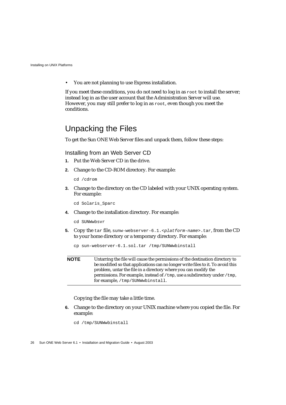• You are not planning to use Express installation.

If you meet these conditions, you do not need to log in as  $\gamma$  root to install the server; instead log in as the user account that the Administration Server will use. However, you may still prefer to log in as root, even though you meet the conditions.

#### <span id="page-25-0"></span>Unpacking the Files

To get the Sun ONE Web Server files and unpack them, follow these steps:

<span id="page-25-1"></span>Installing from an Web Server CD

- **1.** Put the Web Server CD in the drive.
- **2.** Change to the CD-ROM directory. For example:

cd /cdrom

**3.** Change to the directory on the CD labeled with your UNIX operating system. For example:

cd Solaris\_Sparc

**4.** Change to the installation directory. For example:

cd SUNWwbsvr

**5.** Copy the tar file, sunw-webserver-6.1.<platform-name>.tar, from the CD to your home directory or a temporary directory. For example:

cp sun-webserver-6.1.sol.tar /tmp/SUNWwbinstall

**NOTE** Untarring the file will cause the permissions of the destination directory to be modified so that applications can no longer write files to it. To avoid this problem, untar the file in a directory where you can modify the permissions. For example, instead of /tmp, use a subdirectory under /tmp, for example, /tmp/SUNWwbinstall.

Copying the file may take a little time.

**6.** Change to the directory on your UNIX machine where you copied the file. For example:

cd /tmp/SUNWwbinstall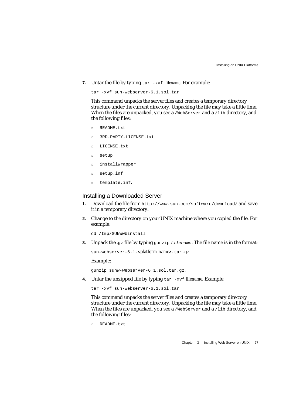**7.** Untar the file by typing tar -xvf *filename*. For example:

tar -xvf sun-webserver-6.1.sol.tar

This command unpacks the server files and creates a temporary directory structure under the current directory. Unpacking the file may take a little time. When the files are unpacked, you see a /WebServer and a /lib directory, and the following files:

- ❍ README.txt
- o 3RD-PARTY-LICENSE.txt
- ❍ LICENSE.txt
- ❍ setup
- o installWrapper
- ❍ setup.inf
- ❍ template.inf.

#### <span id="page-26-0"></span>Installing a Downloaded Server

- **1.** Download the file from http://www.sun.com/software/download/ and save it in a temporary directory.
- **2.** Change to the directory on your UNIX machine where you copied the file. For example:

cd /tmp/SUNWwbinstall

**3.** Unpack the .gz file by typing gunzip filename. The file name is in the format:

sun-webserver-6.1.<*platform-name*>.tar.gz

Example:

gunzip sunw-webserver-6.1.sol.tar.gz.

**4.** Untar the unzipped file by typing tar -xvf *filename.* Example:

tar -xvf sun-webserver-6.1.sol.tar

This command unpacks the server files and creates a temporary directory structure under the current directory. Unpacking the file may take a little time. When the files are unpacked, you see a /WebServer and a /lib directory, and the following files:

README.txt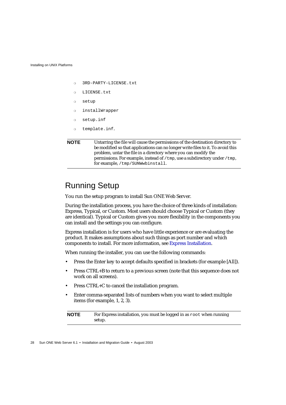- ❍ 3RD-PARTY-LICENSE.txt
- ❍ LICENSE.txt
- ❍ setup
- ❍ installWrapper
- ❍ setup.inf
- o template.inf.

```
NOTE Untarring the file will cause the permissions of the destination directory to 
 be modified so that applications can no longer write files to it. To avoid this 
  problem, untar the file in a directory where you can modify the 
 permissions. For example, instead of /tmp, use a subdirectory under /tmp,
 for example, /tmp/SUNWwbinstall.
```
#### <span id="page-27-0"></span>Running Setup

You run the setup program to install Sun ONE Web Server.

During the installation process, you have the choice of three kinds of installation: Express, Typical, or Custom. Most users should choose Typical or Custom (they are identical). Typical or Custom gives you more flexibility in the components you can install and the settings you can configure.

Express installation is for users who have little experience or are evaluating the product. It makes assumptions about such things as port number and which components to install. For more information, see [Express Installation](#page-31-0).

When running the installer, you can use the following commands:

- Press the Enter key to accept defaults specified in brackets (for example [All]).
- Press CTRL+B to return to a previous screen (note that this sequence does not work on all screens).
- Press CTRL+C to cancel the installation program.
- Enter comma-separated lists of numbers when you want to select multiple items (for example, 1, 2, 3).

**NOTE** For Express installation, you must be logged in as root when running setup.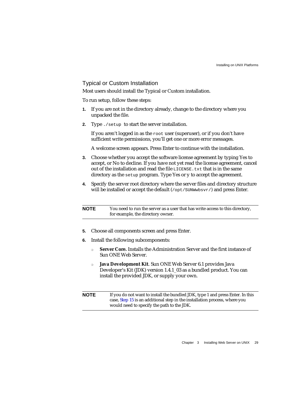#### <span id="page-28-0"></span>Typical or Custom Installation

Most users should install the Typical or Custom installation.

To run setup, follow these steps:

- **1.** If you are not in the directory already, change to the directory where you unpacked the file.
- **2.** Type ./setup to start the server installation.

If you aren't logged in as the root user (superuser), or if you don't have sufficient write permissions, you'll get one or more error messages.

A welcome screen appears. Press Enter to continue with the installation.

- **3.** Choose whether you accept the software license agreement by typing Yes to accept, or No to decline. If you have not yet read the license agreement, cancel out of the installation and read the file  $LICENSE$ .  $txt$  that is in the same directory as the setup program. Type Yes or y to accept the agreement.
- **4.** Specify the server root directory where the server files and directory structure will be installed or accept the default  $(\sqrt{\pi}$  SUNWwbsvr $\pi$ ) and press Enter.

**NOTE** You need to run the server as a user that has write access to this directory, for example, the directory owner.

- **5.** Choose all components screen and press Enter.
- <span id="page-28-1"></span>**6.** Install the following subcomponents:
	- ❍ **Server Core.** Installs the Administration Server and the first instance of Sun ONE Web Server.
	- ❍ **Java Development Kit**. Sun ONE Web Server 6.1 provides Java Developer's Kit (JDK) version 1.4.1\_03 as a bundled product. You can install the provided JDK, or supply your own.

**NOTE** If you do not want to install the bundled JDK, type 1 and press Enter. In this case, [Step 15](#page-30-0) is an additional step in the installation process, where you would need to specify the path to the JDK.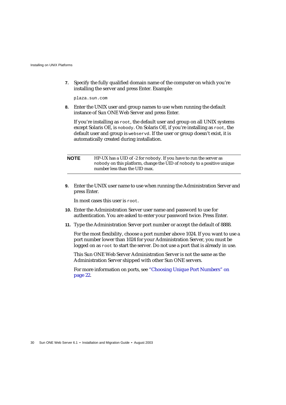**7.** Specify the fully qualified domain name of the computer on which you're installing the server and press Enter. Example:

plaza.sun.com

**8.** Enter the UNIX user and group names to use when running the default instance of Sun ONE Web Server and press Enter.

If you're installing as root, the default user and group on all UNIX systems except Solaris OE, is nobody. On Solaris OE, if you're installing as root, the default user and group is webservd. If the user or group doesn't exist, it is automatically created during installation.

**NOTE** HP-UX has a UID of -2 for nobody. If you have to run the server as nobody on this platform, change the UID of nobody to a positive unique number less than the UID max.

**9.** Enter the UNIX user name to use when running the Administration Server and press Enter.

In most cases this user is root.

- **10.** Enter the Administration Server user name and password to use for authentication. You are asked to enter your password twice. Press Enter.
- **11.** Type the Administration Server port number or accept the default of 8888.

For the most flexibility, choose a port number above 1024. If you want to use a port number lower than 1024 for your Administration Server, you must be logged on as root to start the server. Do not use a port that is already in use.

This Sun ONE Web Server Administration Server is not the same as the Administration Server shipped with other Sun ONE servers.

For more information on ports, see ["Choosing Unique Port Numbers" on](#page-21-2)  [page 22](#page-21-2).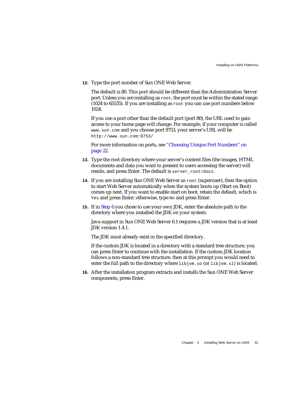**12.** Type the port number of Sun ONE Web Server.

The default is 80. This port should be different than the Administration Server port. Unless you are installing as  $_{\text{root}}$ , the port must be within the stated range (1024 to 65535). If you are installing as root you can use port numbers below 1024.

If you use a port other than the default port (port 80), the URL used to gain access to your home page will change. For example, if your computer is called www.sun.com and you choose port 9753, your server's URL will be http://www.sun.com:9753/

For more information on ports, see ["Choosing Unique Port Numbers" on](#page-21-2)  [page 22](#page-21-2).

- **13.** Type the root directory where your server's content files (the images, HTML documents and data you want to present to users accessing the server) will reside, and press Enter. The default is server\_root/docs.
- **14.** If you are installing Sun ONE Web Server as  $\text{root}$  (superuser), then the option to start Web Server automatically when the system boots up (Start on Boot) comes up next. If you want to enable start on boot, retain the default, which is Yes and press Enter; otherwise, type No and press Enter.
- <span id="page-30-0"></span>**15.** If in [Step 6](#page-28-1) you chose to use your own JDK, enter the absolute path to the directory where you installed the JDK on your system.

Java support in Sun ONE Web Server 6.1 requires a JDK version that is at least JDK version 1.4.1.

The JDK must already exist in the specified directory.

If the custom JDK is located in a directory with a standard tree structure, you can press Enter to continue with the installation. If the custom JDK location follows a non-standard tree structure, then at this prompt you would need to enter the full path to the directory where  $\exists$ ibjvm.so (or  $\exists$ ibjvm.sl) is located.

**16.** After the installation program extracts and installs the Sun ONE Web Server components, press Enter.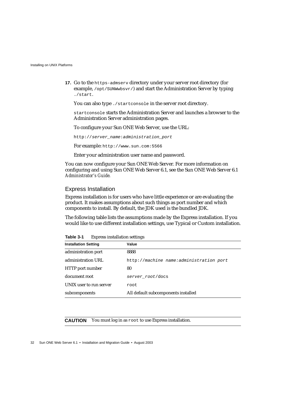**17.** Go to the https-admserv directory under your server root directory (for example, /opt/SUNWwbsvr/) and start the Administration Server by typing ./start.

You can also type ./startconsole in the server root directory.

startconsole starts the Administration Server and launches a browser to the Administration Server administration pages.

To configure your Sun ONE Web Server, use the URL:

http://server\_name:administration\_port

For example: http://www.sun.com:5566

Enter your administration user name and password.

You can now configure your Sun ONE Web Server. For more information on configuring and using Sun ONE Web Server 6.1, see the Sun ONE Web Server 6.1 *Administrator's Guide.*

#### <span id="page-31-0"></span>Express Installation

Express installation is for users who have little experience or are evaluating the product. It makes assumptions about such things as port number and which components to install. By default, the JDK used is the bundled JDK.

The following table lists the assumptions made by the Express installation. If you would like to use different installation settings, use Typical or Custom installation.

| <b>Installation Setting</b> | Value                                   |
|-----------------------------|-----------------------------------------|
| administration port         | 8888                                    |
| administration URL          | http://machine name:administration port |
| HTTP port number            | 80                                      |
| document root               | server root/docs                        |
| UNIX user to run server     | root                                    |
| subcomponents               | All default subcomponents installed     |

**Table 3-1** Express installation settings

**CAUTION** You must log in as root to use Express installation.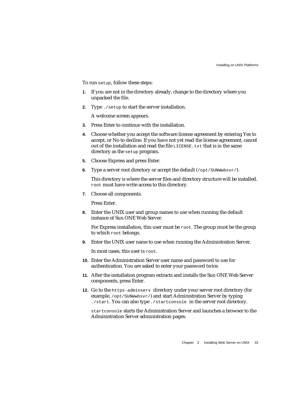To run setup, follow these steps:

- **1.** If you are not in the directory already, change to the directory where you unpacked the file.
- **2.** Type ./setup to start the server installation.

A welcome screen appears.

- **3.** Press Enter to continue with the installation.
- **4.** Choose whether you accept the software license agreement by entering Yes to accept, or No to decline. If you have not yet read the license agreement, cancel out of the installation and read the file  $LICENSE$ .  $txt$  that is in the same directory as the setup program.
- **5.** Choose Express and press Enter.
- **6.** Type a server root directory or accept the default (/ $opt/SUNWwbsvr$ ).

This directory is where the server files and directory structure will be installed. root must have write access to this directory.

**7.** Choose all components.

Press Enter.

**8.** Enter the UNIX user and group names to use when running the default instance of Sun ONE Web Server.

For Express installation, this user must be root. The group must be the group to which root belongs.

**9.** Enter the UNIX user name to use when running the Administration Server.

In most cases, this user is root.

- **10.** Enter the Administration Server user name and password to use for authentication. You are asked to enter your password twice.
- **11.** After the installation program extracts and installs the Sun ONE Web Server components, press Enter.
- **12.** Go to the https-adminserv directory under your server root directory (for example, /opt/SUNWwbsvr/) and start Administration Server by typing ./start. You can also type ./startconsole in the server root directory.

startconsole starts the Administration Server and launches a browser to the Administration Server administration pages.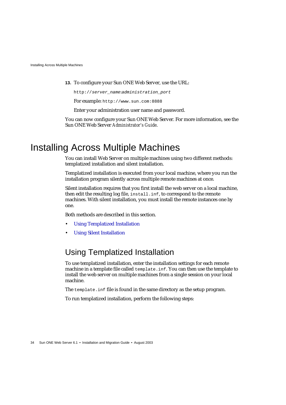**13.** To configure your Sun ONE Web Server, use the URL:

http://server\_name*:*administration\_port

For example: http://www.sun.com:8888

Enter your administration user name and password.

You can now configure your Sun ONE Web Server. For more information, see the Sun ONE Web Server *Administrator's Guide*.

## <span id="page-33-0"></span>Installing Across Multiple Machines

You can install Web Server on multiple machines using two different methods: templatized installation and silent installation.

Templatized installation is executed from your local machine, where you run the installation program silently across multiple remote machines at once.

Silent installation requires that you first install the web server on a local machine, then edit the resulting log file, install.inf, to correspond to the remote machines. With silent installation, you must install the remote instances one by one.

Both methods are described in this section.

- [Using Templatized Installation](#page-33-1)
- [Using Silent Installation](#page-37-0)

#### <span id="page-33-1"></span>Using Templatized Installation

To use templatized installation, enter the installation settings for each remote machine in a template file called template.inf. You can then use the template to install the web server on multiple machines from a single session on your local machine.

The template.inf file is found in the same directory as the setup program.

To run templatized installation, perform the following steps: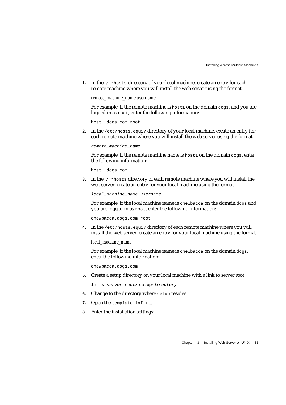**1.** In the /.rhosts directory of your local machine, create an entry for each remote machine where you will install the web server using the format

*remote\_machine\_name username*

For example, if the remote machine is host1 on the domain dogs, and you are logged in as root, enter the following information:

host1.dogs.com root

**2.** In the /etc/hosts.equiv directory of your local machine, create an entry for each remote machine where you will install the web server using the format

remote\_machine\_name

For example, if the remote machine name is host1 on the domain dogs, enter the following information:

host1.dogs.com

**3.** In the /.rhosts directory of each remote machine where you will install the web server, create an entry for your local machine using the format

local\_machine\_name username

For example, if the local machine name is chewbacca on the domain dogs and you are logged in as root, enter the following information:

chewbacca.dogs.com root

**4.** In the /etc/hosts.equiv directory of each remote machine where you will install the web server, create an entry for your local machine using the format

*local\_machine\_name* 

For example, if the local machine name is chewbacca on the domain dogs, enter the following information:

chewbacca.dogs.com

**5.** Create a setup directory on your local machine with a link to server root

ln -s server\_root/ setup*-*directory

- **6.** Change to the directory where setup resides.
- **7.** Open the template.inf file.
- **8.** Enter the installation settings: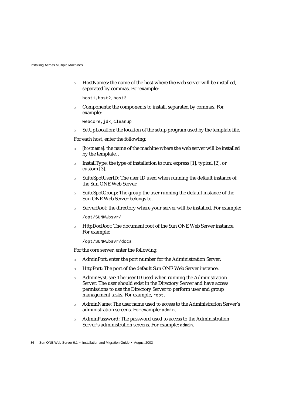$\sim$  HostNames: the name of the host where the web server will be installed, separated by commas. For example:

```
host1,host2,host3
```
❍ Components: the components to install, separated by commas. For example:

webcore, jdk, cleanup

❍ SetUpLocation: the location of the setup program used by the template file.

For each host, enter the following:

- ❍ [*hostname*]: the name of the machine where the web server will be installed by the template. .
- ❍ InstallType: the type of installation to run: express [1], typical [2], or custom [3].
- ❍ SuiteSpotUserID: The user ID used when running the default instance of the Sun ONE Web Server.
- ❍ SuiteSpotGroup: The group the user running the default instance of the Sun ONE Web Server belongs to.
- ❍ ServerRoot: the directory where your server will be installed. For example:

/opt/SUNWwbsvr/

❍ HttpDocRoot: The document root of the Sun ONE Web Server instance. For example:

/opt/SUNWwbsvr/docs

For the core server, enter the following:

- ❍ AdminPort: enter the port number for the Administration Server.
- ❍ HttpPort: The port of the default Sun ONE Web Server instance.
- ❍ AdminSysUser: The user ID used when running the Administration Server. The user should exist in the Directory Server and have access permissions to use the Directory Server to perform user and group management tasks. For example, root.
- ❍ AdminName: The user name used to access to the Administration Server's administration screens. For example: admin.
- ❍ AdminPassword: The password used to access to the Administration Server's administration screens. For example: admin.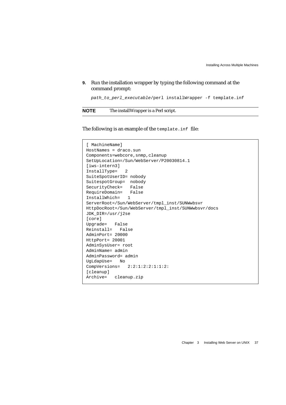#### **9.** Run the installation wrapper by typing the following command at the command prompt:

path\_to\_perl\_executable/perl\_installWrapper -f template.inf

**NOTE** The installWrapper is a Perl script.

The following is an example of the template.inf file:

```
[ MachineName]
HostNames = draco.sun
Components=webcore,snmp,cleanup
SetUpLocation=/Sun/WebServer/P20030814.1
[iws-intern3]
InstallType= 2
SuiteSpotUserID= nobody
SuitespotGroup= nobody
SecurityCheck= False
RequireDomain= False
InstallWhich= 1
ServerRoot=/Sun/WebServer/tmpl_inst/SUNWwbsvr
HttpDocRoot=/Sun/WebServer/tmpl_inst/SUNWwbsvr/docs
JDK_DIR=/usr/j2se
[core]
Upgrade= False
Reinstall= False
AdminPort= 20000
HttpPort= 20001
AdminSysUser= root
AdminName= admin
AdminPassword= admin
UgLdapUse= No
CompVersions= 2:2:1:2:2:1:1:2:
[cleanup]
Archive= cleanup.zip
```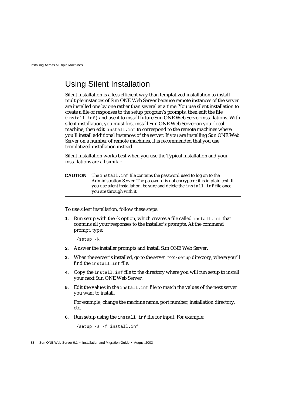### Using Silent Installation

Silent installation is a less efficient way than templatized installation to install multiple instances of Sun ONE Web Server because remote instances of the server are installed one by one rather than several at a time. You use silent installation to create a file of responses to the setup program's prompts, then edit the file (install.inf) and use it to install future Sun ONE Web Server installations. With silent installation, you must first install Sun ONE Web Server on your local machine, then edit install.inf to correspond to the remote machines where you'll install additional instances of the server. If you are installing Sun ONE Web Server on a number of remote machines, it is recommended that you use templatized installation instead.

Silent installation works best when you use the Typical installation and your installations are all similar.

**CAUTION** The install.inf file contains the password used to log on to the Administration Server. The password is not encrypted; it is in plain text. If you use silent installation, be sure and delete the install.inf file once you are through with it.

To use silent installation, follow these steps:

**1.** Run setup with the -k option, which creates a file called install.inf that contains all your responses to the installer's prompts. At the command prompt, type:

./setup -k

- **2.** Answer the installer prompts and install Sun ONE Web Server.
- **3.** When the server is installed, go to the *server\_root*/setup directory, where you'll find the install inf file.
- **4.** Copy the install.inf file to the directory where you will run setup to install your next Sun ONE Web Server.
- **5.** Edit the values in the install.inf file to match the values of the next server you want to install.

For example, change the machine name, port number, installation directory, etc.

**6.** Run setup using the install.inf file for input. For example:

./setup -s -f install.inf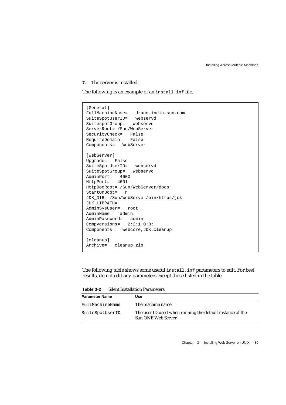#### **7.** The server is installed.

The following is an example of an install. inf file.

```
[General]
FullMachineName= draco.india.sun.com
SuiteSpotUserID= webservd
SuitespotGroup= webservd
ServerRoot= /Sun/WebServer
SecurityCheck= False
RequireDomain= False
Components= WebServer
[WebServer]
Upgrade= False
SuiteSpotUserID= webservd
SuiteSpotGroup= webservd
AdminPort= 4600
HttpPort= 4601
HttpDocRoot= /Sun/WebServer/docs
StartOnBoot= n
JDK_DIR= /Sun/WebServer/bin/https/jdk
JDK_LIBPATH= 
AdminSysUser= root
AdminName= admin
AdminPassword= admin
CompVersions= 2:2:1:0:0:
Components= webcore,JDK,cleanup
[cleanup]
Archive= cleanup.zip
```
The following table shows some useful install.inf parameters to edit. For best results, do not edit any parameters except those listed in the table.

| <b>Parameter Name</b> | Use                                                                              |
|-----------------------|----------------------------------------------------------------------------------|
| FullMachineName       | The machine name.                                                                |
| SuiteSpotUserID       | The user ID used when running the default instance of the<br>Sun ONE Web Server. |

**Table 3-2** Silent Installation Parameters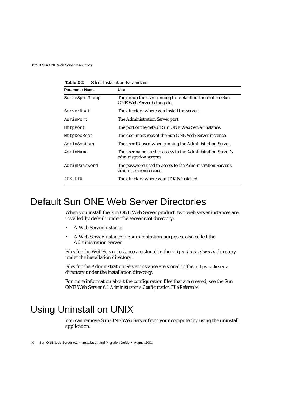| <b>Parameter Name</b> | <b>Use</b>                                                                               |
|-----------------------|------------------------------------------------------------------------------------------|
| SuiteSpotGroup        | The group the user running the default instance of the Sun<br>ONE Web Server belongs to. |
| ServerRoot            | The directory where you install the server.                                              |
| AdminPort             | The Administration Server port.                                                          |
| HttpPort              | The port of the default Sun ONE Web Server instance.                                     |
| HttpDocRoot           | The document root of the Sun ONE Web Server instance.                                    |
| AdminSysUser          | The user ID used when running the Administration Server.                                 |
| AdminName             | The user name used to access to the Administration Server's<br>administration screens.   |
| AdminPassword         | The password used to access to the Administration Server's<br>administration screens.    |
| JDK DIR               | The directory where your JDK is installed.                                               |

**Table 3-2** Silent Installation Parameters

## Default Sun ONE Web Server Directories

When you install the Sun ONE Web Server product, two web server instances are installed by default under the server root directory:

- A Web Server instance
- A Web Server instance for administration purposes, also called the Administration Server.

Files for the Web Server instance are stored in the https-host.domain directory under the installation directory.

Files for the Administration Server instance are stored in the https-admserv directory under the installation directory.

For more information about the configuration files that are created, see the Sun ONE Web Server 6.1 *Administrator's Configuration File Reference*.

## Using Uninstall on UNIX

You can remove Sun ONE Web Server from your computer by using the uninstall application.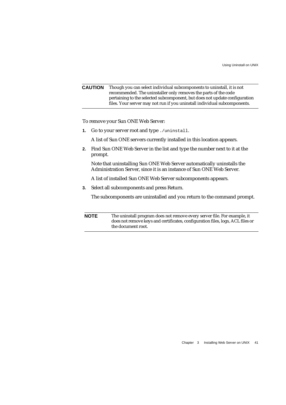**CAUTION** Though you can select individual subcomponents to uninstall, it is not recommended. The uninstaller only removes the parts of the code pertaining to the selected subcomponent, but does not update configuration files. Your server may not run if you uninstall individual subcomponents.

To remove your Sun ONE Web Server:

**1.** Go to your server root and type ./uninstall.

A list of Sun ONE servers currently installed in this location appears.

**2.** Find Sun ONE Web Server in the list and type the number next to it at the prompt.

Note that uninstalling Sun ONE Web Server automatically uninstalls the Administration Server, since it is an instance of Sun ONE Web Server.

A list of installed Sun ONE Web Server subcomponents appears.

**3.** Select all subcomponents and press Return.

The subcomponents are uninstalled and you return to the command prompt.

**NOTE** The uninstall program does not remove every server file. For example, it does not remove keys and certificates, configuration files, logs, ACL files or the document root.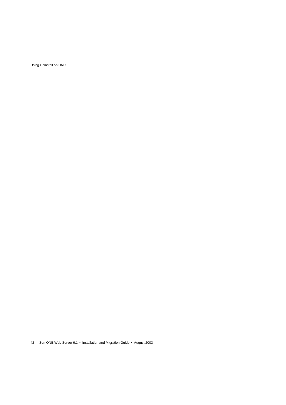Using Uninstall on UNIX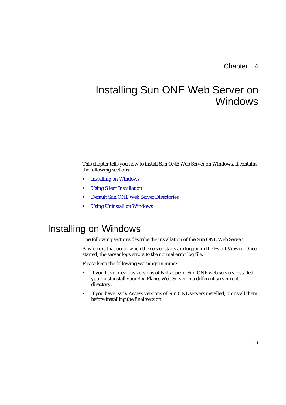# Installing Sun ONE Web Server on Windows

This chapter tells you how to install Sun ONE Web Server on Windows. It contains the following sections:

- [Installing on Windows](#page-42-0)
- [Using Silent Installation](#page-48-0)
- [Default Sun ONE Web Server Directories](#page-51-0)
- [Using Uninstall on Windows](#page-51-1)

## <span id="page-42-0"></span>Installing on Windows

The following sections describe the installation of the Sun ONE Web Server.

Any errors that occur when the server starts are logged in the Event Viewer. Once started, the server logs errors to the normal error log file.

Please keep the following warnings in mind:

- If you have previous versions of Netscape or Sun ONE web servers installed, you must install your 4.x iPlanet Web Server in a different server root directory.
- If you have Early Access versions of Sun ONE servers installed, uninstall them before installing the final version.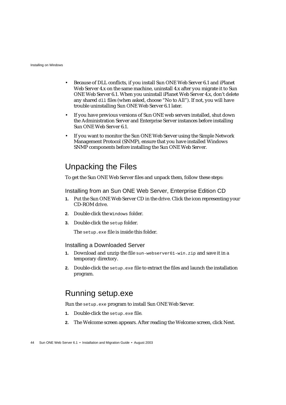- Because of DLL conflicts, if you install Sun ONE Web Server 6.1 and iPlanet Web Server 4.x on the same machine, uninstall 4.x after you migrate it to Sun ONE Web Server 6.1. When you uninstall iPlanet Web Server 4.x, don't delete any shared dll files (when asked, choose "No to All"). If not, you will have trouble uninstalling Sun ONE Web Server 6.1 later.
- If you have previous versions of Sun ONE web servers installed, shut down the Administration Server and Enterprise Server instances before installing Sun ONE Web Server 6.1.
- If you want to monitor the Sun ONE Web Server using the Simple Network Management Protocol (SNMP), ensure that you have installed Windows SNMP components before installing the Sun ONE Web Server.

### Unpacking the Files

To get the Sun ONE Web Server files and unpack them, follow these steps:

Installing from an Sun ONE Web Server, Enterprise Edition CD

- **1.** Put the Sun ONE Web Server CD in the drive. Click the icon representing your CD-ROM drive.
- **2.** Double-click the Windows folder.
- **3.** Double-click the setup folder.

The setup.exe file is inside this folder.

### Installing a Downloaded Server

- **1.** Download and unzip the file sun-webserver61-win.zip and save it in a temporary directory.
- **2.** Double-click the setup.exe file to extract the files and launch the installation program.

### Running setup.exe

Run the setup.exe program to install Sun ONE Web Server.

- **1.** Double-click the setup.exe file.
- **2.** The Welcome screen appears. After reading the Welcome screen, click Next.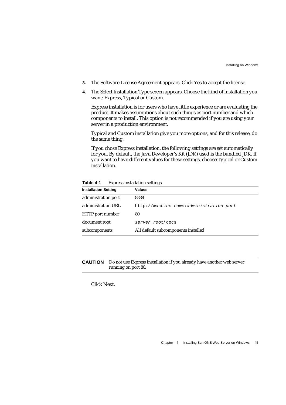- **3.** The Software License Agreement appears. Click Yes to accept the license.
- **4.** The Select Installation Type screen appears. Choose the kind of installation you want: Express, Typical or Custom.

Express installation is for users who have little experience or are evaluating the product. It makes assumptions about such things as port number and which components to install. This option is not recommended if you are using your server in a production environment.

Typical and Custom installation give you more options, and for this release, do the same thing.

If you chose Express installation, the following settings are set automatically for you. By default, the Java Developer's Kit (JDK) used is the bundled JDK. If you want to have different values for these settings, choose Typical or Custom installation.

**Table 4-1** Express installation settings

| <b>Installation Setting</b> | <b>Values</b>                           |
|-----------------------------|-----------------------------------------|
| administration port         | 8888                                    |
| administration URL          | http://machine name:administration port |
| HTTP port number            | 80                                      |
| document root               | server root/docs                        |
| subcomponents               | All default subcomponents installed     |

**CAUTION** Do not use Express Installation if you already have another web server running on port 80.

Click Next.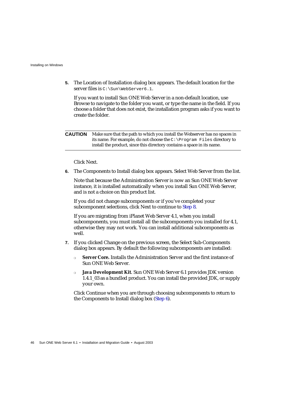**5.** The Location of Installation dialog box appears. The default location for the server files is C:\Sun\WebServer6.1.

If you want to install Sun ONE Web Server in a non-default location, use Browse to navigate to the folder you want, or type the name in the field. If you choose a folder that does not exist, the installation program asks if you want to create the folder.

**CAUTION** Make sure that the path to which you install the Webserver has no spaces in its name. For example, do not choose the C:\Program Files directory to install the product, since this directory contains a space in its name.

Click Next.

<span id="page-45-0"></span>**6.** The Components to Install dialog box appears. Select Web Server from the list.

Note that because the Administration Server is now an Sun ONE Web Server instance, it is installed automatically when you install Sun ONE Web Server, and is not a choice on this product list.

If you did not change subcomponents or if you've completed your subcomponent selections, click Next to continue to [Step 8](#page-46-0).

If you are migrating from iPlanet Web Server 4.1, when you install subcomponents, you must install all the subcomponents you installed for 4.1, otherwise they may not work. You can install additional subcomponents as well.

- **7.** If you clicked Change on the previous screen, the Select Sub-Components dialog box appears. By default the following subcomponents are installed:
	- ❍ **Server Core.** Installs the Administration Server and the first instance of Sun ONE Web Server.
	- ❍ **Java Development Kit**. Sun ONE Web Server 6.1 provides JDK version 1.4.1\_03 as a bundled product. You can install the provided JDK, or supply your own.

Click Continue when you are through choosing subcomponents to return to the Components to Install dialog box ([Step 6](#page-45-0)).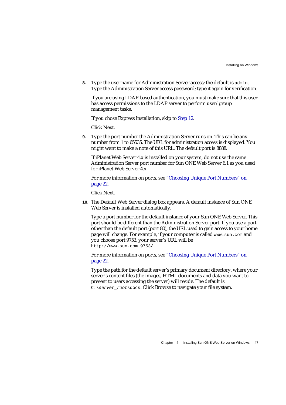<span id="page-46-0"></span>**8.** Type the user name for Administration Server access; the default is admin. Type the Administration Server access password; type it again for verification.

If you are using LDAP-based authentication, you must make sure that this user has access permissions to the LDAP server to perform user/group management tasks.

If you chose Express Installation, skip to [Step 12.](#page-47-0)

Click Next.

**9.** Type the port number the Administration Server runs on. This can be any number from 1 to 65535. The URL for administration access is displayed. You might want to make a note of this URL. The default port is 8888.

If iPlanet Web Server 4.x is installed on your system, do not use the same Administration Server port number for Sun ONE Web Server 6.1 as you used for iPlanet Web Server 4.x.

For more information on ports, see ["Choosing Unique Port Numbers" on](#page-21-0)  [page 22](#page-21-0).

Click Next.

**10.** The Default Web Server dialog box appears. A default instance of Sun ONE Web Server is installed automatically.

Type a port number for the default instance of your Sun ONE Web Server. This port should be different than the Administration Server port. If you use a port other than the default port (port 80), the URL used to gain access to your home page will change. For example, if your computer is called www.sun.com and you choose port 9753, your server's URL will be http://www.sun.com:9753/

For more information on ports, see ["Choosing Unique Port Numbers" on](#page-21-0)  [page 22](#page-21-0).

Type the path for the default server's primary document directory, where your server's content files (the images, HTML documents and data you want to present to users accessing the server) will reside. The default is  $C:\ \server\_root \dots$ . Click Browse to navigate your file system.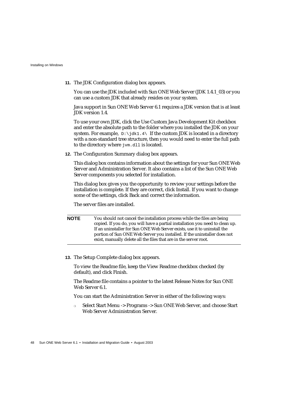**11.** The JDK Configuration dialog box appears.

You can use the JDK included with Sun ONE Web Server (JDK 1.4.1\_03) or you can use a custom JDK that already resides on your system.

Java support in Sun ONE Web Server 6.1 requires a JDK version that is at least JDK version 1.4.

To use your own JDK, click the Use Custom Java Development Kit checkbox and enter the absolute path to the folder where you installed the JDK on your system. For example,  $D:\iota\in A\setminus H$  if the custom JDK is located in a directory with a non-standard tree structure, then you would need to enter the full path to the directory where jvm.dll is located.

<span id="page-47-0"></span>**12.** The Configuration Summary dialog box appears.

This dialog box contains information about the settings for your Sun ONE Web Server and Administration Server. It also contains a list of the Sun ONE Web Server components you selected for installation.

This dialog box gives you the opportunity to review your settings before the installation is complete. If they are correct, click Install. If you want to change some of the settings, click Back and correct the information.

The server files are installed.

- **NOTE** You should not cancel the installation process while the files are being copied. If you do, you will have a partial installation you need to clean up. If an uninstaller for Sun ONE Web Server exists, use it to uninstall the portion of Sun ONE Web Server you installed. If the uninstaller does not exist, manually delete all the files that are in the server root.
- **13.** The Setup Complete dialog box appears.

To view the Readme file, keep the View Readme checkbox checked (by default), and click Finish.

The Readme file contains a pointer to the latest Release Notes for Sun ONE Web Server 6.1

You can start the Administration Server in either of the following ways:

❍ Select Start Menu -> Programs -> Sun ONE Web Server, and choose Start Web Server Administration Server.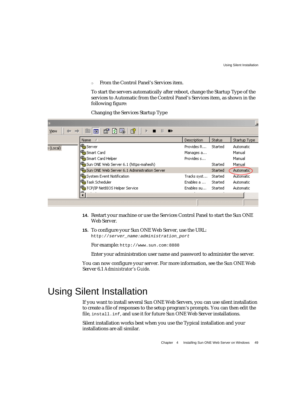❍ From the Control Panel's Services item.

To start the servers automatically after reboot, change the Startup Type of the services to Automatic from the Control Panel's Services item, as shown in the following figure:

Changing the Services Startup Type

| View      | 喝<br>ピ<br>ft<br>図<br>œ<br>囮<br>$\blacksquare$ |             |                |              |
|-----------|-----------------------------------------------|-------------|----------------|--------------|
|           | <b>Name</b><br>A                              | Description | <b>Status</b>  | Startup Type |
| s (Local) | ା <sup>ଷ୍ଟ୍ର</sup> ର Server                   | Provides R  | Started        | Automatic    |
|           | Smart Card                                    | Manages a   |                | Manual       |
|           | 巉 Smart Card Helper                           | Provides s  |                | Manual       |
|           | 处sun ONE Web Server 6.1 (https-mahesh)        |             | Started        | Manual       |
|           | Sun ONE Web Server 6.1 Administration Server  |             | <b>Started</b> | Automatic    |
|           | 巉system Event Notification                    | Tracks syst | Started        | Automatic    |
|           | <sup>8</sup> Task Scheduler                   | Enables a   | Started        | Automatic    |
|           | <sup>(线</sup> 线 TCP/IP NetBIOS Helper Service | Enables su  | Started        | Automatic    |
|           | m                                             |             |                |              |
|           |                                               |             |                |              |

- **14.** Restart your machine or use the Services Control Panel to start the Sun ONE Web Server.
- **15.** To configure your Sun ONE Web Server, use the URL: http://server\_name:administration\_port

For example: http://www.sun.com:8888

Enter your administration user name and password to administer the server.

You can now configure your server. For more information, see the Sun ONE Web Server 6.1 *Administrator's Guide*.

## <span id="page-48-0"></span>Using Silent Installation

If you want to install several Sun ONE Web Servers, you can use silent installation to create a file of responses to the setup program's prompts. You can then edit the file, install.inf, and use it for future Sun ONE Web Server installations.

Silent installation works best when you use the Typical installation and your installations are all similar.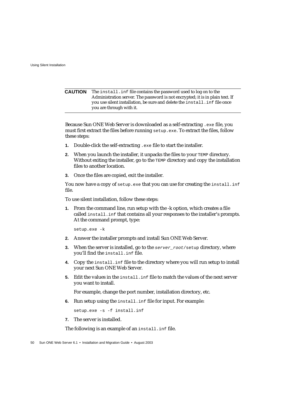**CAUTION** The install.inf file contains the password used to log on to the Administration server. The password is not encrypted; it is in plain text. If you use silent installation, be sure and delete the install.inf file once you are through with it.

Because Sun ONE Web Server is downloaded as a self-extracting .exe file, you must first extract the files before running  $set up$ .exe. To extract the files, follow these steps:

- **1.** Double-click the self-extracting .exe file to start the installer.
- **2.** When you launch the installer, it unpacks the files to your TEMP directory. Without exiting the installer, go to the TEMP directory and copy the installation files to another location.
- **3.** Once the files are copied, exit the installer.

You now have a copy of setup.exe that you can use for creating the install.inf file.

To use silent installation, follow these steps:

**1.** From the command line, run setup with the -k option, which creates a file called install.inf that contains all your responses to the installer's prompts. At the command prompt, type:

setup.exe -k

- **2.** Answer the installer prompts and install Sun ONE Web Server.
- **3.** When the server is installed, go to the server root/setup directory, where you'll find the install.inf file.
- **4.** Copy the install.inf file to the directory where you will run setup to install your next Sun ONE Web Server.
- **5.** Edit the values in the install, inf file to match the values of the next server you want to install.

For example, change the port number, installation directory, etc.

**6.** Run setup using the install.inf file for input. For example:

setup.exe -s -f install.inf

**7.** The server is installed.

The following is an example of an install. inf file.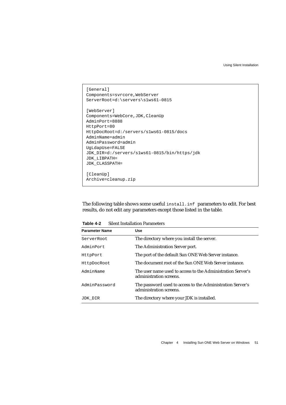```
[General]
Components=svrcore, WebServer
ServerRoot=d:\servers\s1ws61-0815
[WebServer]
Components=WebCore, JDK, CleanUp
AdminPort=8888
HttpPort=80
HttpDocRoot=d:/servers/s1ws61-0815/docs
AdminName=admin
AdminPassword=admin
UgLdapUse=FALSE
JDK_DIR=d:/servers/s1ws61-0815/bin/https/jdk
JDK_LIBPATH=
JDK_CLASSPATH=
[CleanUp]
Archive=cleanup.zip
```
The following table shows some useful install.inf parameters to edit. For best results, do not edit any parameters except those listed in the table.

| <b>Parameter Name</b> | <b>Use</b>                                                                             |
|-----------------------|----------------------------------------------------------------------------------------|
| ServerRoot            | The directory where you install the server.                                            |
| AdminPort             | The Administration Server port.                                                        |
| HttpPort              | The port of the default Sun ONE Web Server instance.                                   |
| HttpDocRoot           | The document root of the Sun ONE Web Server instance.                                  |
| AdminName             | The user name used to access to the Administration Server's<br>administration screens. |
| AdminPassword         | The password used to access to the Administration Server's<br>administration screens.  |
| JDK DIR               | The directory where your JDK is installed.                                             |

**Table 4-2** Silent Installation Parameters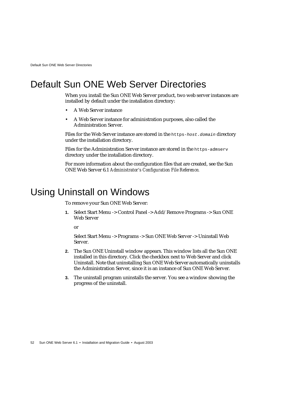# <span id="page-51-0"></span>Default Sun ONE Web Server Directories

When you install the Sun ONE Web Server product, two web server instances are installed by default under the installation directory:

- A Web Server instance
- A Web Server instance for administration purposes, also called the Administration Server.

Files for the Web Server instance are stored in the https-host.domain directory under the installation directory.

Files for the Administration Server instance are stored in the https-admserv directory under the installation directory.

For more information about the configuration files that are created, see the Sun ONE Web Server 6.1 *Administrator's Configuration File Reference*.

# <span id="page-51-1"></span>Using Uninstall on Windows

To remove your Sun ONE Web Server:

**1.** Select Start Menu -> Control Panel -> Add/Remove Programs -> Sun ONE Web Server

or

Select Start Menu -> Programs -> Sun ONE Web Server -> Uninstall Web Server.

- **2.** The Sun ONE Uninstall window appears. This window lists all the Sun ONE installed in this directory. Click the checkbox next to Web Server and click Uninstall. Note that uninstalling Sun ONE Web Server automatically uninstalls the Administration Server, since it is an instance of Sun ONE Web Server.
- **3.** The uninstall program uninstalls the server. You see a window showing the progress of the uninstall.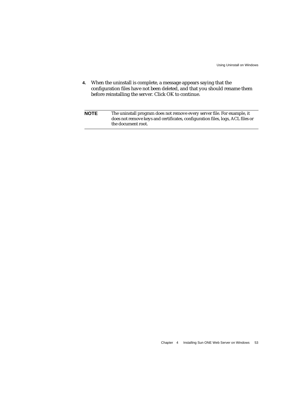**4.** When the uninstall is complete, a message appears saying that the configuration files have not been deleted, and that you should rename them before reinstalling the server. Click OK to continue.

**NOTE** The uninstall program does not remove every server file. For example, it does not remove keys and certificates, configuration files, logs, ACL files or the document root.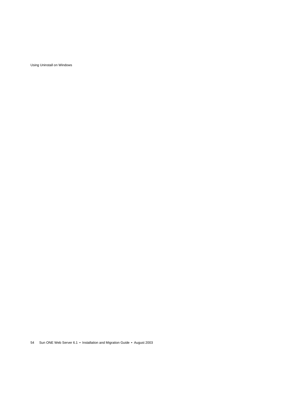Using Uninstall on Windows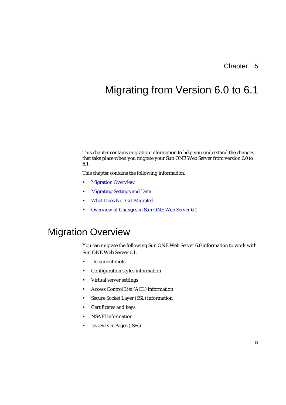# Migrating from Version 6.0 to 6.1

This chapter contains migration information to help you understand the changes that take place when you migrate your Sun ONE Web Server from version 6.0 to 6.1.

This chapter contains the following information:

- [Migration Overview](#page-54-0)
- [Migrating Settings and Data](#page-55-0)
- [What Does Not Get Migrated](#page-59-0)
- [Overview of Changes in Sun ONE Web Server 6.1](#page-60-0)

## <span id="page-54-0"></span>Migration Overview

You can migrate the following Sun ONE Web Server 6.0 information to work with Sun ONE Web Server 6.1.

- Document roots
- Configuration styles information
- Virtual server settings
- Access Control List (ACL) information
- Secure Socket Layer (SSL) information
- Certificates and keys
- NSAPI information
- JavaServer Pages (JSPs)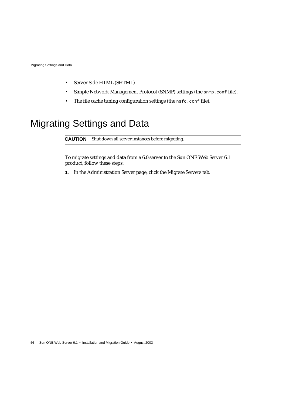- Server Side HTML (SHTML)
- Simple Network Management Protocol (SNMP) settings (the snmp.conf file).
- The file cache tuning configuration settings (the nsfc.conf file).

# <span id="page-55-0"></span>Migrating Settings and Data

**CAUTION** Shut down all server instances before migrating.

To migrate settings and data from a 6.0 server to the Sun ONE Web Server 6.1 product, follow these steps:

**1.** In the Administration Server page, click the Migrate Servers tab.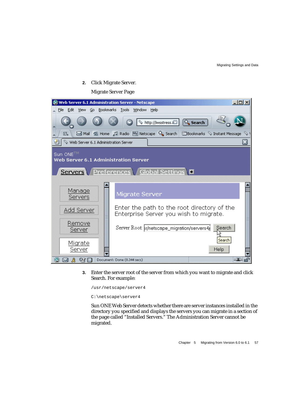**2.** Click Migrate Server.

Migrate Server Page

| Web Server 6.1 Administration Server - Netscape                                                             |                             |                                                                                       |  |                | $ \Box$ $\times$ |
|-------------------------------------------------------------------------------------------------------------|-----------------------------|---------------------------------------------------------------------------------------|--|----------------|------------------|
| Edit<br>File<br>View                                                                                        | Go Bookmarks Tools Window   | Help                                                                                  |  |                |                  |
|                                                                                                             |                             | http://iwsstress.io   Q Search                                                        |  |                |                  |
| Mail 4 Home 2 Radio My Netscape 4 Search   EBookmarks 4 Instant Message<br>旵.                               |                             |                                                                                       |  |                |                  |
| $\mathbb Q$ Web Server 6.1 Administration Server                                                            |                             |                                                                                       |  |                |                  |
| Sun ONE <sup>™</sup><br>Web Server 6.1 Administration Server<br>Servers / Preferences / Global Settings   D |                             |                                                                                       |  |                |                  |
|                                                                                                             |                             |                                                                                       |  |                |                  |
| Manage<br>Servers                                                                                           | Migrate Server              |                                                                                       |  |                |                  |
| Add Server                                                                                                  |                             | Enter the path to the root directory of the<br>Enterprise Server you wish to migrate. |  |                |                  |
| Remove<br>Server                                                                                            |                             | Server Root: kr/netscape_migration/servers4/                                          |  | Search         |                  |
| Migrate<br><u>Server</u>                                                                                    |                             |                                                                                       |  | Search<br>Help |                  |
| Φł<br>Ä                                                                                                     | Document: Done (0.344 secs) |                                                                                       |  |                | -100             |

**3.** Enter the server root of the server from which you want to migrate and click Search. For example:

/usr/netscape/server4

C:\netscape\server4

Sun ONE Web Server detects whether there are server instances installed in the directory you specified and displays the servers you can migrate in a section of the page called "Installed Servers." The Administration Server cannot be migrated.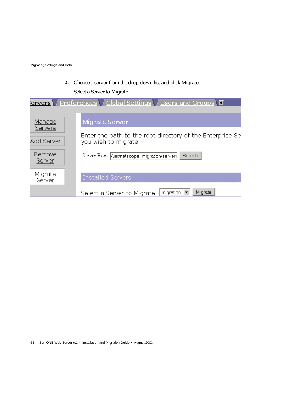**4.** Choose a server from the drop-down list and click Migrate.

### Select a Server to Migrate

|                       | ervers / Preferences / Global Settings / Users and Groups                         |
|-----------------------|-----------------------------------------------------------------------------------|
|                       |                                                                                   |
| Manage                | Migrate Server                                                                    |
| Servers<br>Add Server | Enter the path to the root directory of the Enterprise Se<br>you wish to migrate. |
| Remove<br>Server      | Server Root:  /usr/netscape_migration/servers<br>Search                           |
| Migrate<br>Server     | Installed Servers                                                                 |
|                       | Migrate<br>migration<br>Select a Server to Migrate:                               |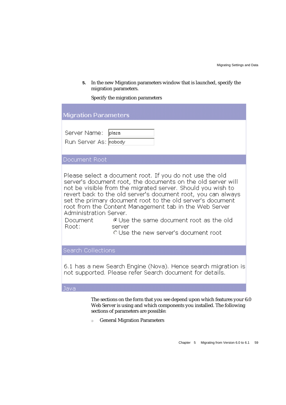**5.** In the new Migration parameters window that is launched, specify the migration parameters.

Specify the migration parameters

### **Migration Parameters**

Server Name: **lplaza** 

Run Server As: nobody

### Document Root

Please select a document root. If you do not use the old server's document root, the documents on the old server will not be visible from the migrated server. Should you wish to revert back to the old server's document root, you can always set the primary document root to the old server's document root from the Content Management tab in the Web Server Administration Server.

**O** Use the same document root as the old Document : Root: I server

O Use the new server's document root.

### Search Collections

6.1 has a new Search Engine (Nova). Hence search migration is not supported. Please refer Search document for details.

#### Javal

The sections on the form that you see depend upon which features your 6.0 Web Server is using and which components you installed. The following sections of parameters are possible:

❍ General Migration Parameters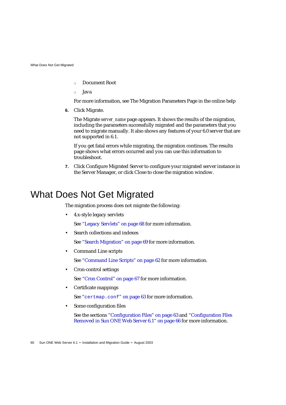- ❍ Document Root
- $\circ$  Java

For more information, see The Migration Parameters Page in the online help

**6.** Click Migrate.

The Migrate *server\_name* page appears. It shows the results of the migration, including the parameters successfully migrated and the parameters that you need to migrate manually. It also shows any features of your 6.0 server that are not supported in 6.1.

If you get fatal errors while migrating, the migration continues. The results page shows what errors occurred and you can use this information to troubleshoot.

**7.** Click Configure Migrated Server to configure your migrated server instance in the Server Manager, or click Close to close the migration window.

## <span id="page-59-0"></span>What Does Not Get Migrated

The migration process does not migrate the following:

• 4.x-style legacy servlets

See ["Legacy Servlets" on page 68](#page-67-0) for more information.

• Search collections and indexes

See ["Search Migration" on page 69](#page-68-0) for more information.

• Command Line scripts

See ["Command Line Scripts" on page 62](#page-61-0) for more information.

• Cron-control settings

See ["Cron Control" on page 67](#page-66-0) for more information.

• Certificate mappings

See "[certmap.conf](#page-62-0)" on page 63 for more information.

• Some configuration files

See the sections ["Configuration Files" on page 63](#page-62-1) and ["Configuration Files](#page-65-0)  [Removed in Sun ONE Web Server 6.1" on page 66](#page-65-0) for more information.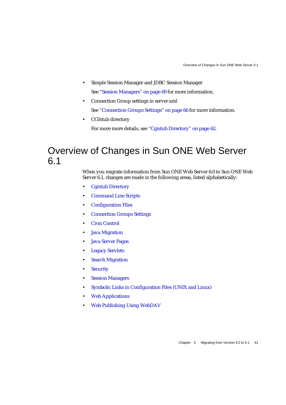• Simple Session Manager and JDBC Session Manager

See ["Session Managers" on page 69](#page-68-1) for more information.

• Connection Group settings in server.xml

See ["Connection Groups Settings" on page 66](#page-65-1) for more information.

• CGIstub directory

For more more details, see ["Cgistub Directory" on page 62.](#page-61-1)

## <span id="page-60-0"></span>Overview of Changes in Sun ONE Web Server 6.1

When you migrate information from Sun ONE Web Server 6.0 to Sun ONE Web Server 6.1, changes are made in the following areas, listed alphabetically:

- [Cgistub Directory](#page-61-1)
- [Command Line Scripts](#page-61-0)
- [Configuration Files](#page-62-1)
- [Connection Groups Settings](#page-65-1)
- [Cron Control](#page-66-0)
- [Java Migration](#page-66-1)
- [Java Server Pages](#page-67-1)
- [Legacy Servlets](#page-67-0)
- [Search Migration](#page-68-0)
- [Security](#page-68-2)
- [Session Managers](#page-68-1)
- [Symbolic Links in Configuration Files \(UNIX and Linux\)](#page-70-1)
- [Web Applications](#page-70-0)
- [Web Publishing Using WebDAV](#page-71-0)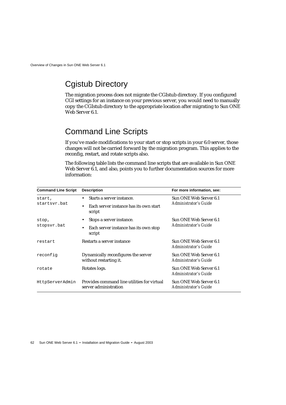## <span id="page-61-1"></span>Cgistub Directory

The migration process does not migrate the CGIstub directory. If you configured CGI settings for an instance on your previous server, you would need to manually copy the CGIstub directory to the appropriate location after migrating to Sun ONE Web Server 6.1.

### <span id="page-61-0"></span>Command Line Scripts

If you've made modifications to your start or stop scripts in your 6.0 server, those changes will not be carried forward by the migration program. This applies to the reconfig, restart, and rotate scripts also.

The following table lists the command line scripts that are available in Sun ONE Web Server 6.1, and also, points you to further documentation sources for more information:

| <b>Command Line Script</b> | <b>Description</b>                                                                       | For more information, see:                      |
|----------------------------|------------------------------------------------------------------------------------------|-------------------------------------------------|
| start,<br>startsvr.bat     | Starts a server instance.<br>Each server instance has its own start<br>script            | Sun ONE Web Server 6.1<br>Administrator's Guide |
| stop,<br>stopsvr.bat       | Stops a server instance.<br>Each server instance has its own stop<br>$\bullet$<br>script | Sun ONE Web Server 6.1<br>Administrator's Guide |
| restart                    | Restarts a server instance                                                               | Sun ONE Web Server 6.1<br>Administrator's Guide |
| reconfig                   | Dynamically reconfigures the server<br>without restarting it.                            | Sun ONE Web Server 6.1<br>Administrator's Guide |
| rotate                     | Rotates logs.                                                                            | Sun ONE Web Server 6.1<br>Administrator's Guide |
| HttpServerAdmin            | Provides command line utilities for virtual<br>server administration                     | Sun ONE Web Server 6.1<br>Administrator's Guide |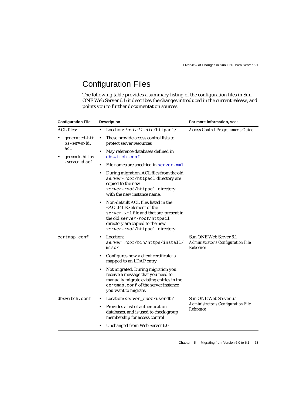### <span id="page-62-1"></span>Configuration Files

The following table provides a summary listing of the configuration files in Sun ONE Web Server 6.1; it describes the changes introduced in the current release, and points you to further documentation sources:

<span id="page-62-2"></span><span id="page-62-0"></span>

| <b>Configuration File</b>                                   | <b>Description</b>                                                                                                                                                                                                                         | For more information, see:                                                       |
|-------------------------------------------------------------|--------------------------------------------------------------------------------------------------------------------------------------------------------------------------------------------------------------------------------------------|----------------------------------------------------------------------------------|
| <b>ACL files:</b>                                           | Location: install-dir/httpacl/<br>٠                                                                                                                                                                                                        | <b>Access Control Programmer's Guide</b>                                         |
| generated-htt<br>ps-server-id.<br>acl<br>genwork-https<br>٠ | These provide access control lists to<br>$\bullet$<br>protect server resources                                                                                                                                                             |                                                                                  |
|                                                             | May reference databases defined in<br>٠<br>dbswitch.conf                                                                                                                                                                                   |                                                                                  |
| -server-id.acl                                              | File names are specified in server.xml<br>$\bullet$                                                                                                                                                                                        |                                                                                  |
|                                                             | During migration, ACL files from the old<br>$\bullet$<br>server-root/httpacl directory are<br>copied to the new<br>server-root/httpacl directory<br>with the new instance name.                                                            |                                                                                  |
|                                                             | Non-default ACL files listed in the<br>$\bullet$<br><aclfile> element of the<br/>server. xml file and that are present in<br/>the old server-root/httpacl<br/>directory are copied to the new<br/>server-root/httpacl directory.</aclfile> |                                                                                  |
| certmap.conf                                                | Location:<br>$\bullet$<br>server_root/bin/https/install/<br>misc/                                                                                                                                                                          | Sun ONE Web Server 6.1<br><b>Administrator's Configuration File</b><br>Reference |
|                                                             | Configures how a client certificate is<br>$\bullet$<br>mapped to an LDAP entry                                                                                                                                                             |                                                                                  |
|                                                             | Not migrated. During migration you<br>receive a message that you need to<br>manually migrate existing entries in the<br>certmap.conf of the server instance<br>you want to migrate.                                                        |                                                                                  |
| dbswitch.conf                                               | Location: server_root/userdb/<br>$\bullet$                                                                                                                                                                                                 | Sun ONE Web Server 6.1                                                           |
|                                                             | Provides a list of authentication<br>$\bullet$<br>databases, and is used to check group<br>membership for access control                                                                                                                   | <b>Administrator's Configuration File</b><br>Reference                           |
|                                                             | Unchanged from Web Server 6.0<br>$\bullet$                                                                                                                                                                                                 |                                                                                  |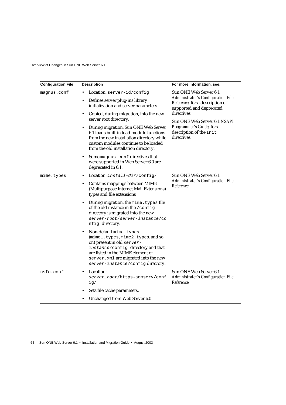| <b>Configuration File</b> | <b>Description</b>                                                                                                                                                                                                                                                                                                                                                                                                | For more information, see:                                                                                                                                                                                                                               |
|---------------------------|-------------------------------------------------------------------------------------------------------------------------------------------------------------------------------------------------------------------------------------------------------------------------------------------------------------------------------------------------------------------------------------------------------------------|----------------------------------------------------------------------------------------------------------------------------------------------------------------------------------------------------------------------------------------------------------|
| magnus.conf               | Location: server-id/config<br>$\bullet$<br>Defines server plug-ins library<br>initialization and server parameters<br>Copied, during migration, into the new<br>٠<br>server root directory.<br>During migration, Sun ONE Web Server<br>٠<br>6.1 loads built-in load module functions<br>from the new installation directory while<br>custom modules continue to be loaded<br>from the old installation directory. | Sun ONE Web Server 6.1<br><b>Administrator's Configuration File</b><br>Reference, for a description of<br>supported and deprecated<br>directives.<br>Sun ONE Web Server 6.1 NSAPI<br>Programmer's Guide, for a<br>description of the Init<br>directives. |
|                           | Some magnus.conf directives that<br>were supported in Web Server 6.0 are<br>deprecated in 6.1.                                                                                                                                                                                                                                                                                                                    |                                                                                                                                                                                                                                                          |
| mime.types                | Location: $install-dir/confiq/$                                                                                                                                                                                                                                                                                                                                                                                   | Sun ONE Web Server 6.1                                                                                                                                                                                                                                   |
|                           | Contains mappings between MIME<br>(Multipurpose Internet Mail Extensions)<br>types and file extensions                                                                                                                                                                                                                                                                                                            | <b>Administrator's Configuration File</b><br>Reference                                                                                                                                                                                                   |
|                           | During migration, the mime. types file<br>of the old instance in the /config<br>directory is migrated into the new<br>server-root/server-instance/co<br>nfig directory.                                                                                                                                                                                                                                           |                                                                                                                                                                                                                                                          |
|                           | Non-default mime.types<br>$\bullet$<br>(mime1.types, mime2.types, and so<br>on) present in old server-<br>instance/config directory and that<br>are listed in the MIME element of<br>server. xml are migrated into the new<br>server-instance/config directory.                                                                                                                                                   |                                                                                                                                                                                                                                                          |
| nsfc.conf                 | Location:<br>server_root/https-admserv/conf<br>ig/                                                                                                                                                                                                                                                                                                                                                                | Sun ONE Web Server 6.1<br><b>Administrator's Configuration File</b><br>Reference                                                                                                                                                                         |
|                           | Sets file cache parameters.                                                                                                                                                                                                                                                                                                                                                                                       |                                                                                                                                                                                                                                                          |
|                           | Unchanged from Web Server 6.0                                                                                                                                                                                                                                                                                                                                                                                     |                                                                                                                                                                                                                                                          |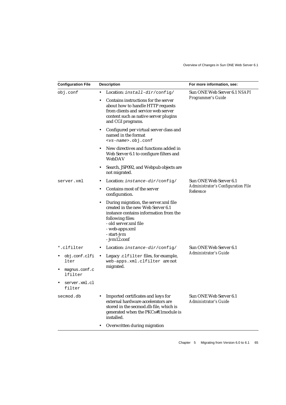<span id="page-64-0"></span>

| <b>Configuration File</b> | <b>Description</b>                                                                                                                                                                                                              | For more information, see:                                    |  |
|---------------------------|---------------------------------------------------------------------------------------------------------------------------------------------------------------------------------------------------------------------------------|---------------------------------------------------------------|--|
| obj.conf                  | Location: $install-dir/config/$<br>Contains instructions for the server<br>about how to handle HTTP requests<br>from clients and service web server<br>content such as native server plugins<br>and CGI programs.               | Sun ONE Web Server 6.1 <i>NSAPI</i><br>Programmer's Guide     |  |
|                           | Configured per virtual server class and<br>٠<br>named in the format<br><vs-name>.obj.conf</vs-name>                                                                                                                             |                                                               |  |
|                           | New directives and functions added in<br>Web Server 6.1 to configure filters and<br>WebDAV                                                                                                                                      |                                                               |  |
|                           | Search, JSP092, and Webpub objects are<br>not migrated.                                                                                                                                                                         |                                                               |  |
| server.xml                | Location: instance-dir/config/<br>$\bullet$                                                                                                                                                                                     | Sun ONE Web Server 6.1                                        |  |
|                           | Contains most of the server<br>$\bullet$<br>configuration.                                                                                                                                                                      | <b>Administrator's Configuration File</b><br><b>Reference</b> |  |
|                           | During migration, the server.xml file<br>$\bullet$<br>created in the new Web Server 6.1<br>instance contains information from the<br>following files:<br>- old server.xml file<br>- web-apps.xml<br>- start-jvm<br>- jvm12.conf |                                                               |  |
| *.clfilter                | Location: $instance-dir/config/$                                                                                                                                                                                                | Sun ONE Web Server 6.1                                        |  |
| obj.conf.clfi<br>lter     | Legacy.clfilter files, for example,<br>$\bullet$<br>web-apps.xml.clfilter are not                                                                                                                                               | Administrator's Guide                                         |  |
| magnus.conf.c<br>lfilter  | migrated.                                                                                                                                                                                                                       |                                                               |  |
| server.xml.cl<br>filter   |                                                                                                                                                                                                                                 |                                                               |  |
| secmod.db                 | Imported certificates and keys for<br>٠<br>external hardware accelerators are<br>stored in the secmod.db file, which is<br>generated when the PKCs#11 module is<br>installed.                                                   | Sun ONE Web Server 6.1<br><b>Administrator's Guide</b>        |  |
|                           | Overwritten during migration<br>$\bullet$                                                                                                                                                                                       |                                                               |  |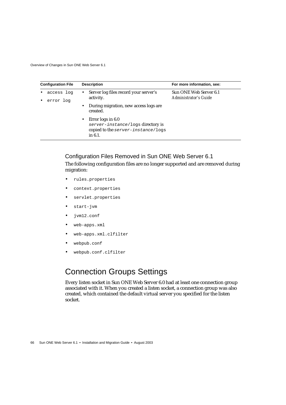| <b>Configuration File</b> | <b>Description</b>                                                                                              | For more information, see:                      |
|---------------------------|-----------------------------------------------------------------------------------------------------------------|-------------------------------------------------|
| access log<br>error log   | Server log files record your server's<br>$\bullet$<br>activity.                                                 | Sun ONE Web Server 6.1<br>Administrator's Guide |
|                           | During migration, new access logs are.<br>$\bullet$<br>created.                                                 |                                                 |
|                           | Error logs in 6.0<br>٠<br>server-instance/logs directory is<br>copied to the server-instance/logs<br>in $6.1$ . |                                                 |

<span id="page-65-0"></span>Configuration Files Removed in Sun ONE Web Server 6.1

The following configuration files are no longer supported and are removed during migration:

- rules.properties
- context.properties
- servlet.properties
- start-jvm
- jvm12.conf
- web-apps.xml
- web-apps.xml.clfilter
- webpub.conf
- webpub.conf.clfilter

## <span id="page-65-1"></span>Connection Groups Settings

Every listen socket in Sun ONE Web Server 6.0 had at least one connection group associated with it. When you created a listen socket, a connection group was also created, which contained the default virtual server you specified for the listen socket.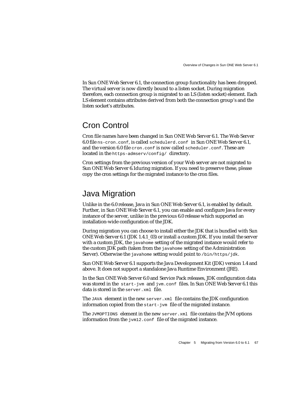In Sun ONE Web Server 6.1, the connection group functionality has been dropped. The virtual server is now directly bound to a listen socket. During migration therefore, each connection group is migrated to an LS (listen socket) element. Each LS element contains attributes derived from both the connection group's and the listen socket's attributes.

### <span id="page-66-0"></span>Cron Control

Cron file names have been changed in Sun ONE Web Server 6.1. The Web Server 6.0 file ns-cron.conf, is called schedulerd.conf in Sun ONE Web Server 6.1, and the version 6.0 file cron.conf is now called scheduler.conf. These are located in the https-admserv/config/ directory.

Cron settings from the previous version of your Web server are not migrated to Sun ONE Web Server 6.1during migration. If you need to preserve these, please copy the cron settings for the migrated instance to the cron files.

### <span id="page-66-1"></span>Java Migration

Unlike in the 6.0 release, Java in Sun ONE Web Server 6.1, is enabled by default. Further, in Sun ONE Web Server 6.1, you can enable and configure Java for every instance of the server, unlike in the previous 6.0 release which supported an installation-wide configuration of the JDK.

During migration you can choose to install either the JDK that is bundled with Sun ONE Web Server 6.1 (JDK 1.4.1\_03) or install a custom JDK. If you install the server with a custom JDK, the javahome setting of the migrated instance would refer to the custom JDK path (taken from the javahome setting of the Administration Server). Otherwise the javahome setting would point to /bin/https/jdk.

Sun ONE Web Server 6.1 supports the Java Development Kit (JDK) version 1.4 and above. It does not support a standalone Java Runtime Environment (JRE).

In the Sun ONE Web Server 6.0 and Service Pack releases, JDK configuration data was stored in the start-jvm and jvm.conf files. In Sun ONE Web Server 6.1 this data is stored in the server.xml file.

The JAVA element in the new server.  $x<sub>m1</sub>$  file contains the JDK configuration information copied from the start-jvm file of the migrated instance.

The JVMOPTIONS element in the new server.xml file contains the JVM options information from the jvm12.conf file of the migrated instance.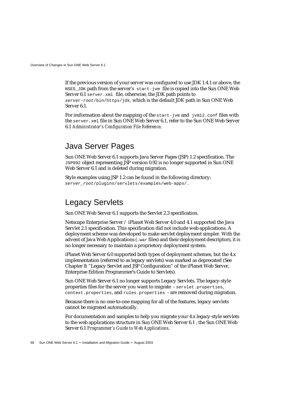If the previous version of your server was configured to use JDK 1.4.1 or above, the NSES\_JDK path from the server's start-jvm file is copied into the Sun ONE Web Server 6.1 server.xml file, otherwise, the JDK path points to server-root/bin/https/jdk, which is the default JDK path in Sun ONE Web Server 6.1

For imformation about the mapping of the start-jym and jym12.conf files with the server.xml file in Sun ONE Web Server 6.1, refer to the Sun ONE Web Server 6.1 *Administrator's Configuration File Reference*.

## <span id="page-67-1"></span>Java Server Pages

Sun ONE Web Server 6.1 supports Java Server Pages (JSP) 1.2 specification. The JSP092 object representing JSP version 0.92 is no longer supported in Sun ONE Web Server 6.1 and is deleted during migration.

Style examples using JSP 1.2 can be found in the following directory: server\_root/plugins/servlets/examples/web-apps/.

## <span id="page-67-0"></span>Legacy Servlets

Sun ONE Web Server 6.1 supports the Servlet 2.3 specification.

Netscape Enterprise Server / iPlanet Web Server 4.0 and 4.1 supported the Java Servlet 2.1 specification. This specification did not include web applications. A deployment scheme was developed to make servlet deployment simpler. With the advent of Java Web Applications (.war files) and their deployment descriptors, it is no longer necessary to maintain a proprietory deployment system.

iPlanet Web Server 6.0 supported both types of deployment schemes, but the 4.x implementation (referred to as legacy servlets) was marked as deprecated (See Chapter 8: "Legacy Servlet and JSP Configuration" of the iPlanet Web Server, Enterprise Edition Programmer's Guide to Servlets).

Sun ONE Web Server 6.1 no longer supports Legacy Servlets. The legacy-style properties files for the server you want to migrate - servlet.properties, context.properties, and rules.properties - are removed during migration.

Because there is no one-to-one mapping for all of the features, legacy servlets cannot be migrated automatically.

For documentation and samples to help you migrate your 4.x legacy-style servlets to the web applications structure in Sun ONE Web Server 6.1 , the Sun ONE Web Server 6.1 *Programmer's Guide to Web Applications*.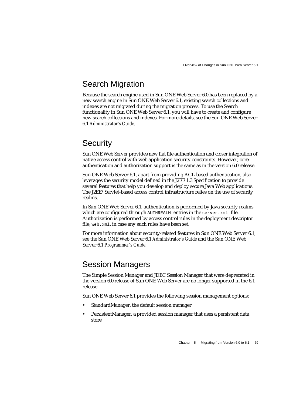### <span id="page-68-0"></span>Search Migration

Because the search engine used in Sun ONE Web Server 6.0 has been replaced by a new search engine in Sun ONE Web Server 6.1, existing search collections and indexes are not migrated during the migration process. To use the Search functionality in Sun ONE Web Server 6.1, you will have to create and configure new search collections and indexes. For more details, see the Sun ONE Web Server 6.1 *Administrator's Guide*.

## <span id="page-68-2"></span>**Security**

Sun ONE Web Server provides new flat file authentication and closer integration of native access control with web application security constraints. However, core authentication and authorization support is the same as in the version 6.0 release.

Sun ONE Web Server 6.1, apart from providing ACL-based authentication, also leverages the security model defined in the J2EE 1.3 Specification to provide several features that help you develop and deploy secure Java Web applications. The J2EE/Servlet-based access control infrastructure relies on the use of security realms.

In Sun ONE Web Server 6.1, authentication is performed by Java security realms which are configured through  $\Delta U$ THREALM entries in the server.  $x$ ml file. Authorization is performed by access control rules in the deployment descriptor file, web.xml, in case any such rules have been set.

For more information about security-related features in Sun ONE Web Server 6.1, see the Sun ONE Web Server 6.1 *Administrator's Guide* and the Sun ONE Web Server 6.1 *Programmer's Guide*.

### <span id="page-68-1"></span>Session Managers

The Simple Session Manager and JDBC Session Manager that were deprecated in the version 6.0 release of Sun ONE Web Server are no longer supported in the 6.1 release.

Sun ONE Web Server 6.1 provides the following session management options:

- StandardManager, the default session manager
- PersistentManager, a provided session manager that uses a persistent data store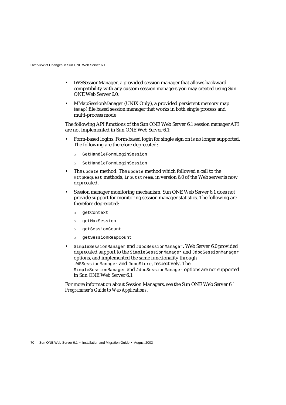- IWSSessionManager, a provided session manager that allows backward compatibility with any custom session managers you may created using Sun ONE Web Server 6.0.
- MMapSessionManager (UNIX Only), a provided persistent memory map (mmap) file based session manager that works in both single process and multi-process mode

The following API functions of the Sun ONE Web Server 6.1 session manager API are not implemented in Sun ONE Web Server 6.1:

- Form-based logins. Form-based login for single sign on is no longer supported. The following are therefore deprecated:
	- ❍ GetHandleFormLoginSession
	- ❍ SetHandleFormLoginSession
- The update method. The update method which followed a call to the HttpRequest methods, inputstream, in version 6.0 of the Web server is now deprecated.
- Session manager monitoring mechanism. Sun ONE Web Server 6.1 does not provide support for monitoring session manager statistics. The following are therefore deprecated:
	- ❍ getContext
	- o qetMaxSession
	- o getSessionCount
	- ❍ getSessionReapCount
- SimpleSessionManager and JdbcSessionManager. Web Server 6.0 provided deprecated support to the SimpleSessionManager and JdbcSessionManager options, and implemented the same functionality through iWSSessionManager and JdbcStore, respectively. The SimpleSessionManager and JdbcSessionManager options are not supported in Sun ONE Web Server 6.1.

For more information about Session Managers, see the Sun ONE Web Server 6.1 *Programmer's Guide to Web Applications*.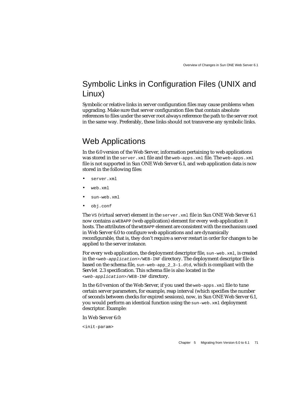### <span id="page-70-1"></span>Symbolic Links in Configuration Files (UNIX and Linux)

Symbolic or relative links in server configuration files may cause problems when upgrading. Make sure that server configuration files that contain absolute references to files under the server root always reference the path to the server root in the same way. Preferably, these links should not transverse any symbolic links.

### <span id="page-70-0"></span>Web Applications

In the 6.0 version of the Web Server, information pertaining to web applications was stored in the server.xml file and the web-apps.xml file. The web-apps.xml file is not supported in Sun ONE Web Server 6.1, and web application data is now stored in the following files:

- server.xml
- web.xml
- sun-web.xml
- obj.conf

The vs (virtual server) element in the server.  $xml$  file in Sun ONE Web Server 6.1 now contains a WEBAPP (web application) element for every web application it hosts. The attributes of the WEBAPP element are consistent with the mechanism used in Web Server 6.0 to configure web applications and are dynamically reconfigurable, that is, they don't require a server restart in order for changes to be applied to the server instance.

For every web application, the deployment descriptor file,  $\text{sun-web}$ ,  $\text{xml}$ , is created in the <web-application>/WEB-INF directory. The deployment descriptor file is based on the schema file, sun-web-app\_2\_3-1.dtd, which is compliant with the Servlet 2.3 specification. This schema file is also located in the <web-application>/WEB-INF directory.

In the 6.0 version of the Web Server, if you used the web-apps.xml file to tune certain server parameters, for example, reap interval (which specifies the number of seconds between checks for expired sessions), now, in Sun ONE Web Server 6.1, you would perform an identical function using the sun-web.xml deployment descriptor. Example:

In Web Server 6.0:

```
<init-param>
```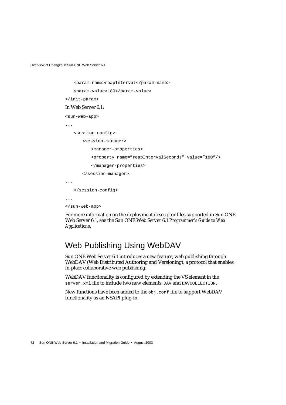```
<param-value>180</param-value>
</init-param>
In Web Server 6.1:
<sun-web-app>
...
   <session-config>
       <session-manager>
          <manager-properties>
          <property name="reapIntervalSeconds" value="180"/>
          </manager-properties>
      </session-manager>
...
   </session-config>
...
```
<param-name>reapInterval</param-name>

</sun-web-app>

For more information on the deployment descriptor files supported in Sun ONE Web Server 6.1, see the Sun ONE Web Server 6.1 *Programmer's Guide to Web Applications*.

### <span id="page-71-0"></span>Web Publishing Using WebDAV

Sun ONE Web Server 6.1 introduces a new feature, web publishing through WebDAV (Web Distributed Authoring and Versioning), a protocol that enables in-place collaborative web publishing.

WebDAV functionality is configured by extending the VS element in the server.xml file to include two new elements, DAV and DAVCOLLECTION.

New functions have been added to the  $\infty$  confile to support WebDAV functionality as an NSAPI plug-in.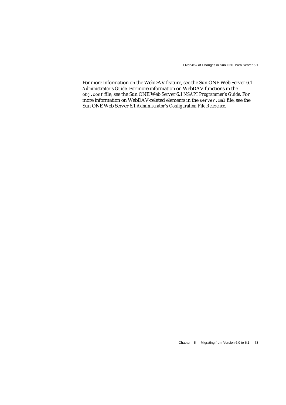For more information on the WebDAV feature, see the Sun ONE Web Server 6.1 *Administrator's Guide*. For more information on WebDAV functions in the obj.conf file, see the Sun ONE Web Server 6.1 *NSAPI Programmer's Guide*. For more information on WebDAV-related elements in the server.xml file, see the Sun ONE Web Server 6.1 *Administrator's Configuration File Reference.*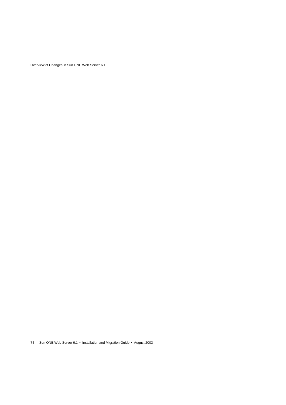Overview of Changes in Sun ONE Web Server 6.1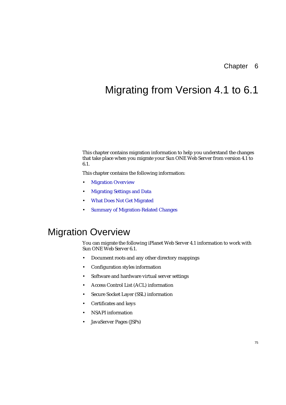# Migrating from Version 4.1 to 6.1

This chapter contains migration information to help you understand the changes that take place when you migrate your Sun ONE Web Server from version 4.1 to 6.1.

This chapter contains the following information:

- [Migration Overview](#page-74-0)
- [Migrating Settings and Data](#page-75-0)
- [What Does Not Get Migrated](#page-83-0)
- [Summary of Migration-Related Changes](#page-84-0)

# <span id="page-74-0"></span>Migration Overview

You can migrate the following iPlanet Web Server 4.1 information to work with Sun ONE Web Server 6.1.

- Document roots and any other directory mappings
- Configuration styles information
- Software and hardware virtual server settings
- Access Control List (ACL) information
- Secure Socket Layer (SSL) information
- Certificates and keys
- NSAPI information
- JavaServer Pages (JSPs)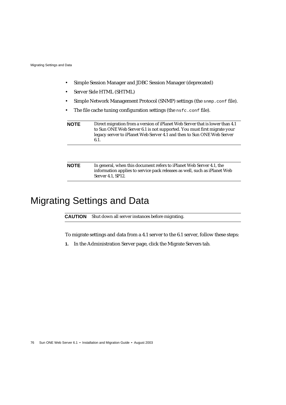- Simple Session Manager and JDBC Session Manager (deprecated)
- Server Side HTML (SHTML)
- Simple Network Management Protocol (SNMP) settings (the snmp.conf file).
- The file cache tuning configuration settings (the nsfc.conf file).

<span id="page-75-2"></span>

| <b>NOTE</b> | Direct migration from a version of iPlanet Web Server that is lower than 4.1<br>to Sun ONE Web Server 6.1 is not supported. You must first migrate your<br>legacy server to iPlanet Web Server 4.1 and then to Sun ONE Web Server<br>6.1. |  |
|-------------|-------------------------------------------------------------------------------------------------------------------------------------------------------------------------------------------------------------------------------------------|--|
|             |                                                                                                                                                                                                                                           |  |
| <b>NOTE</b> | In general, when this document refers to iPlanet Web Server 4.1, the<br>information applies to service pack releases as well, such as iPlanet Web<br>Server 4.1, SP12.                                                                    |  |

# <span id="page-75-0"></span>Migrating Settings and Data

<span id="page-75-1"></span>**CAUTION** Shut down all server instances before migrating.

To migrate settings and data from a 4.1 server to the 6.1 server, follow these steps:

**1.** In the Administration Server page, click the Migrate Servers tab.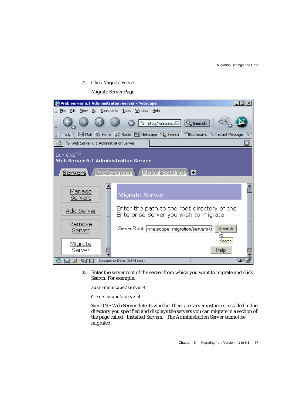**2.** Click Migrate Server.

Migrate Server Page

| Web Server 6.1 Administration Server - Netscape                               | $ \Box$ $\times$                                                                      |  |  |  |  |
|-------------------------------------------------------------------------------|---------------------------------------------------------------------------------------|--|--|--|--|
| File Edit<br>View                                                             | Go Bookmarks Tools Window<br>Help                                                     |  |  |  |  |
|                                                                               | http://iwsstress.iv   Q Search                                                        |  |  |  |  |
| Mail 4 Home 2 Radio My Netscape 4 Search   EBookmarks 4 Instant Message<br>旵, |                                                                                       |  |  |  |  |
| Web Server 6.1 Administration Server                                          |                                                                                       |  |  |  |  |
| Sun_ONE <sup>TM</sup><br>Web Server 6.1 Administration Server                 | Servers / Preferences / Global Settings                                               |  |  |  |  |
|                                                                               |                                                                                       |  |  |  |  |
| Manage<br>Servers                                                             | Migrate Server                                                                        |  |  |  |  |
| Add Server                                                                    | Enter the path to the root directory of the<br>Enterprise Server you wish to migrate. |  |  |  |  |
| Remove<br>Server                                                              | Server Root:  sr/netscape_migration/servers4/<br>Search                               |  |  |  |  |
| <u>Migrate</u><br><u>Server</u>                                               | Search<br>Help                                                                        |  |  |  |  |
| ФY<br>Ä                                                                       | =IE=<br>Document: Done (0.344 secs)                                                   |  |  |  |  |

**3.** Enter the server root of the server from which you want to migrate and click Search. For example:

/usr/netscape/server4

C:\netscape\server4

Sun ONE Web Server detects whether there are server instances installed in the directory you specified and displays the servers you can migrate in a section of the page called "Installed Servers." The Administration Server cannot be migrated.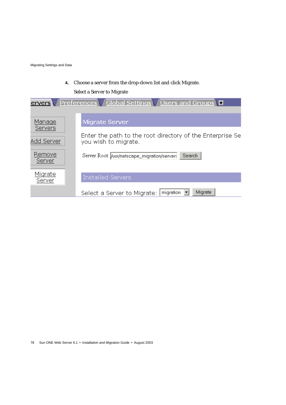**4.** Choose a server from the drop-down list and click Migrate.

#### Select a Server to Migrate

|                       | ervers / Preferences / Global Settings / Users and Groups                         |
|-----------------------|-----------------------------------------------------------------------------------|
|                       |                                                                                   |
| Manage                | Migrate Server                                                                    |
| Servers<br>Add Server | Enter the path to the root directory of the Enterprise Se<br>you wish to migrate. |
| Remove<br>Server      | Server Root:  /usr/netscape_migration/servers<br>Search                           |
| Migrate<br>Server     | Installed Servers                                                                 |
|                       | Migrate<br>migration<br>Select a Server to Migrate:                               |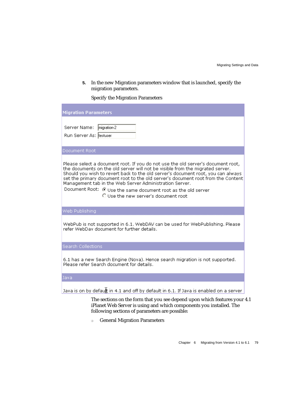**5.** In the new Migration parameters window that is launched, specify the migration parameters.

<span id="page-78-0"></span>Specify the Migration Parameters

| <b>Migration Parameters</b>                                                                                                                                                                                                                                                                                                                                                                                                                                                                                   |  |  |
|---------------------------------------------------------------------------------------------------------------------------------------------------------------------------------------------------------------------------------------------------------------------------------------------------------------------------------------------------------------------------------------------------------------------------------------------------------------------------------------------------------------|--|--|
| Server Name:<br>migration-2<br>Run Server As: Itestuser                                                                                                                                                                                                                                                                                                                                                                                                                                                       |  |  |
| Document Root                                                                                                                                                                                                                                                                                                                                                                                                                                                                                                 |  |  |
| Please select a document root. If you do not use the old server's document root,<br>the documents on the old server will not be visible from the migrated server.<br>Should you wish to revert back to the old server's document root, you can always<br>set the primary document root to the old server's document root from the Content<br>Management tab in the Web Server Administration Server.<br>Document Root: @ Use the same document root as the old server<br>O Use the new server's document root |  |  |
| Web Publishing                                                                                                                                                                                                                                                                                                                                                                                                                                                                                                |  |  |
| WebPub is not supported in 6.1. WebDAV can be used for WebPublishing. Please<br>refer WebDay document for further details.                                                                                                                                                                                                                                                                                                                                                                                    |  |  |
| <b>Search Collections</b>                                                                                                                                                                                                                                                                                                                                                                                                                                                                                     |  |  |
| 6.1 has a new Search Engine (Nova). Hence search migration is not supported.<br>Please refer Search document for details.                                                                                                                                                                                                                                                                                                                                                                                     |  |  |
| Java                                                                                                                                                                                                                                                                                                                                                                                                                                                                                                          |  |  |
| Java is on by default in 4.1 and off by default in 6.1. If Java is enabled on a server                                                                                                                                                                                                                                                                                                                                                                                                                        |  |  |

The sections on the form that you see depend upon which features your 4.1 iPlanet Web Server is using and which components you installed. The following sections of parameters are possible:

❍ General Migration Parameters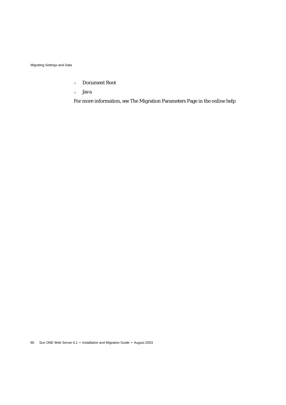- ❍ Document Root
- ❍ Java

For more information, see The Migration Parameters Page in the online help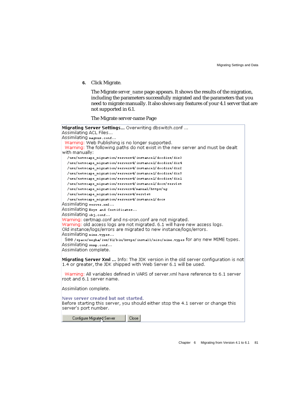**6.** Click Migrate.

The Migrate *server\_name* page appears. It shows the results of the migration, including the parameters successfully migrated and the parameters that you need to migrate manually. It also shows any features of your 4.1 server that are not supported in 6.1.

The Migrate server-name Page

| Migrating Server Settings Overwriting dbswitch.conf<br>Assimilating ACL Files                                                                           |
|---------------------------------------------------------------------------------------------------------------------------------------------------------|
| Assimilating magnus.conf                                                                                                                                |
| Warning: Web Publishing is no longer supported.                                                                                                         |
| Warning: The following paths do not exist in the new server and must be dealt                                                                           |
| with manually:                                                                                                                                          |
| /usr/netscape migration/servers4/instancel/docdirs/dir3                                                                                                 |
| /usr/netscape migration/servers4/instancel/docdirs/dir4                                                                                                 |
| /usr/netscape migration/servers4/instancel/docdirs/dir2                                                                                                 |
| /usr/netscape migration/servers4/instancel/docdirs/dir5                                                                                                 |
| /usr/netscape migration/servers4/instancel/docdirs/dirl                                                                                                 |
| /usr/netscape migration/servers4/instancel/docs/servlet                                                                                                 |
| /usr/netscape migration/servers4/manual/https/ug                                                                                                        |
| /usr/netscape migration/servers4/servlet                                                                                                                |
| /usr/netscape migration/servers4/instancel/docs                                                                                                         |
| Assimilating server.xml                                                                                                                                 |
| Assimilating Keys, and Certificates                                                                                                                     |
| Assimilating obj.conf                                                                                                                                   |
| Warning: certmap.conf and ns-cron.conf are not migrated.                                                                                                |
| Warning: old access logs are not migrated, 6.1 will have new access logs.                                                                               |
| Old instance/logs/errors are migrated to new instance/logs/errors.                                                                                      |
| Assimilating mime.types                                                                                                                                 |
| See /space/megha/iws/61/bin/https/install/misc/mime.types for any new MIME types.                                                                       |
| Assimilating snmp.conf                                                                                                                                  |
| Assimilation complete.                                                                                                                                  |
|                                                                                                                                                         |
| Migrating Server Xml  Info: The JDK version in the old server configuration is not<br>1.4 or greater, the JDK shipped with Web Server 6.1 will be used. |
| Warning: All variables defined in VARS of server.xml have reference to 6.1 server                                                                       |
| root and 6.1 server name.                                                                                                                               |
|                                                                                                                                                         |
| Assimilation complete.                                                                                                                                  |
| New server created but not started.                                                                                                                     |
| Before starting this server, you should either stop the 4.1 server or change this<br>server's port number.                                              |
| Configure Migrated Server<br>Close                                                                                                                      |
|                                                                                                                                                         |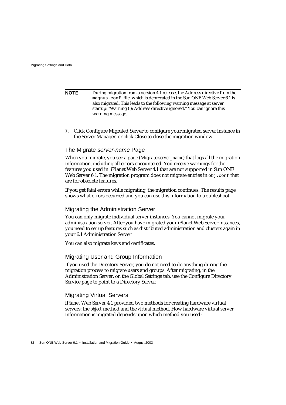**NOTE** During migration from a version 4.1 release, the Address directive from the magnus.conf file, which is deprecated in the Sun ONE Web Server 6.1 is also migrated. This leads to the following warning message at server startup: "Warning ( ): Address directive ignored." You can ignore this warning message.

**7.** Click Configure Migrated Server to configure your migrated server instance in the Server Manager, or click Close to close the migration window.

#### <span id="page-81-0"></span>The Migrate server-name Page

When you migrate, you see a page (Migrate *server\_name*) that logs all the migration information, including all errors encountered. You receive warnings for the features you used in iPlanet Web Server 4.1 that are not supported in Sun ONE Web Server 6.1. The migration program does not migrate entries in  $\phi$   $\phi$ . conf that are for obsolete features.

If you get fatal errors while migrating, the migration continues. The results page shows what errors occurred and you can use this information to troubleshoot.

#### <span id="page-81-1"></span>Migrating the Administration Server

You can only migrate individual server instances. You cannot migrate your administration server. After you have migrated your iPlanet Web Server instances, you need to set up features such as distributed administration and clusters again in your 6.1 Administration Server.

You can also migrate keys and certificates.

#### <span id="page-81-2"></span>Migrating User and Group Information

If you used the Directory Server, you do not need to do anything during the migration process to migrate users and groups. After migrating, in the Administration Server, on the Global Settings tab, use the Configure Directory Service page to point to a Directory Server.

#### <span id="page-81-3"></span>Migrating Virtual Servers

iPlanet Web Server 4.1 provided two methods for creating hardware virtual servers: the *object* method and the *virtual* method. How hardware virtual server information is migrated depends upon which method you used: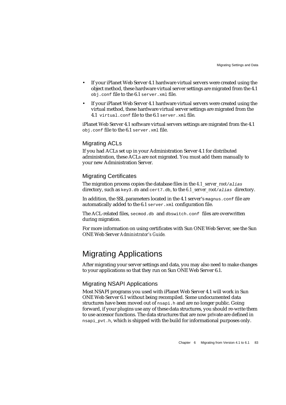- If your iPlanet Web Server 4.1 hardware virtual servers were created using the object method, these hardware virtual server settings are migrated from the 4.1 obj.conf file to the 6.1 server.xml file.
- If your iPlanet Web Server 4.1 hardware virtual servers were created using the virtual method, these hardware virtual server settings are migrated from the 4.1 virtual.conf file to the 6.1 server.xml file.

iPlanet Web Server 4.1 software virtual servers settings are migrated from the 4.1 obj.conf file to the 6.1 server.xml file.

#### <span id="page-82-0"></span>Migrating ACLs

If you had ACLs set up in your Administration Server 4.1 for distributed administration, these ACLs are not migrated. You must add them manually to your new Administration Server.

#### <span id="page-82-1"></span>Migrating Certificates

The migration process copies the database files in the 4.1 server  $root/alias$ directory, such as  $key3$ . db and cert7. db, to the 6.1 server root/alias directory.

In addition, the SSL parameters located in the 4.1 server's magnus.conf file are automatically added to the 6.1 server.xml configuration file.

The ACL-related files, secmod.db and dbswitch.conf files are overwritten during migration.

For more information on using certificates with Sun ONE Web Server, see the Sun ONE Web Server *Administrator's Guide.*

# <span id="page-82-2"></span>Migrating Applications

After migrating your server settings and data, you may also need to make changes to your applications so that they run on Sun ONE Web Server 6.1.

#### <span id="page-82-3"></span>Migrating NSAPI Applications

Most NSAPI programs you used with iPlanet Web Server 4.1 will work in Sun ONE Web Server 6.1 without being recompiled. Some undocumented data structures have been moved out of nsapi.h and are no longer public. Going forward, if your plugins use any of these data structures, you should re-write them to use accessor functions. The data structures that are now private are defined in nsapi\_pvt.h, which is shipped with the build for informational purposes only.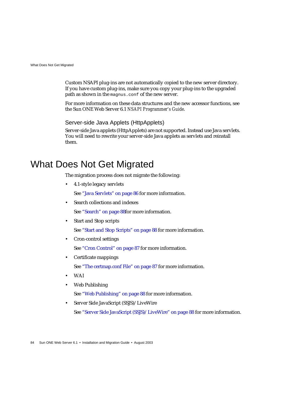Custom NSAPI plug-ins are not automatically copied to the new server directory. If you have custom plug-ins, make sure you copy your plug-ins to the upgraded path as shown in the magnus.conf of the new server.

For more information on these data structures and the new accessor functions, see the Sun ONE Web Server 6.1 *NSAPI Programmer's Guide*.

#### <span id="page-83-1"></span>Server-side Java Applets (HttpApplets)

Server-side Java applets (HttpApplets) are not supported. Instead use Java servlets. You will need to rewrite your server-side Java applets as servlets and reinstall them.

# <span id="page-83-0"></span>What Does Not Get Migrated

The migration process does not migrate the following:

<span id="page-83-2"></span>• 4.1-style legacy servlets

<span id="page-83-10"></span><span id="page-83-5"></span>See ["Java Servlets" on page 86](#page-85-0) for more information.

• Search collections and indexes

<span id="page-83-7"></span>See ["Search" on page 88](#page-87-1)for more information.

• Start and Stop scripts

<span id="page-83-4"></span>See ["Start and Stop Scripts" on page 88](#page-87-3) for more information.

• Cron-control settings

<span id="page-83-3"></span>See ["Cron Control" on page 87](#page-86-0) for more information.

• Certificate mappings

<span id="page-83-8"></span>See ["The certmap.conf File" on page 87](#page-86-1) for more information.

- WAI
- <span id="page-83-9"></span>• Web Publishing

<span id="page-83-6"></span>See ["Web Publishing" on page 88](#page-87-0) for more information.

• Server Side JavaScript (SSJS)/LiveWire

See ["Server Side JavaScript \(SSJS\)/LiveWire" on page 88](#page-87-2) for more information.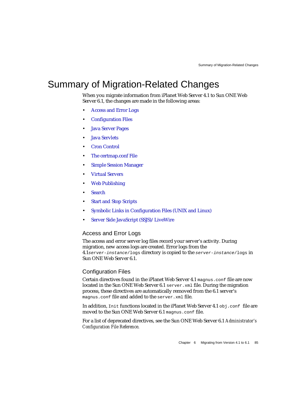# <span id="page-84-0"></span>Summary of Migration-Related Changes

<span id="page-84-4"></span>When you migrate information from iPlanet Web Server 4.1 to Sun ONE Web Server 6.1, the changes are made in the following areas:

- [Access and Error Logs](#page-84-2)
- [Configuration Files](#page-84-1)
- [Java Server Pages](#page-85-1)
- [Java Servlets](#page-85-0)
- [Cron Control](#page-86-0)
- [The certmap.conf File](#page-86-1)
- [Simple Session Manager](#page-86-2)
- [Virtual Servers](#page-87-4)
- [Web Publishing](#page-87-0)
- [Search](#page-87-1)
- **[Start and Stop Scripts](#page-87-3)**
- [Symbolic Links in Configuration Files \(UNIX and Linux\)](#page-87-5)
- [Server Side JavaScript \(SSJS\)/LiveWire](#page-87-2)

#### <span id="page-84-2"></span>Access and Error Logs

The access and error server log files record your server's activity. During migration, new access logs are created. Error logs from the 4.1server-instance/logs directory is copied to the server-instance/logs in Sun ONE Web Server 6.1.

#### <span id="page-84-3"></span><span id="page-84-1"></span>Configuration Files

Certain directives found in the iPlanet Web Server 4.1 magnus.conf file are now located in the Sun ONE Web Server 6.1 server.xml file. During the migration process, these directives are automatically removed from the 6.1 server's magnus.conf file and added to the server.xml file.

In addition,  $Init$  functions located in the iPlanet Web Server 4.1  $obj$ .conf file are moved to the Sun ONE Web Server 6.1 magnus.conf file.

For a list of deprecated directives, see the Sun ONE Web Server 6.1 *Administrator's Configuration File Reference*.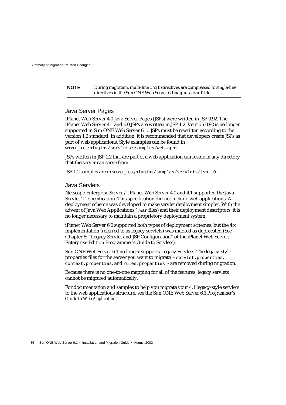**NOTE** During migration, multi-line Init directives are compressed to single-line directives in the Sun ONE Web Server 6.1 magnus.conf file.

#### <span id="page-85-2"></span><span id="page-85-1"></span>Java Server Pages

iPlanet Web Server 4.0 Java Server Pages (JSPs) were written in JSP 0.92. The iPlanet Web Server 4.1 and 6.0 JSPs are written in JSP 1.2. Version 0.92 is no longer supported in Sun ONE Web Server 6.1. JSPs must be rewritten according to the version 1.2 standard. In addition, it is recommended that developers create JSPs as part of web applications. Style examples can be found in

*server\_root*/plugins/servlets/examples/web-apps.

JSPs written in JSP 1.2 that are part of a web application can reside in any directory that the server can serve from.

JSP 1.2 samples are in *server\_root/*plugins/samples/servlets/jsp.10.

#### <span id="page-85-3"></span><span id="page-85-0"></span>Java Servlets

Netscape Enterprise Server / iPlanet Web Server 4.0 and 4.1 supported the Java Servlet 2.1 specification. This specification did not include web applications. A deployment scheme was developed to make servlet deployment simpler. With the advent of Java Web Applications (.war files) and their deployment descriptors, it is no longer necessary to maintain a proprietory deployment system.

iPlanet Web Server 6.0 supported both types of deployment schemes, but the 4.x implementation (referred to as legacy servlets) was marked as deprecated (See Chapter 8: "Legacy Servlet and JSP Configuration" of the iPlanet Web Server, Enterprise Edition Programmer's Guide to Servlets).

Sun ONE Web Server 6.1 no longer supports Legacy Servlets. The legacy-style properties files for the server you want to migrate - servlet.properties, context.properties, and rules.properties - are removed during migration.

Because there is no one-to-one mapping for all of the features, legacy servlets cannot be migrated automatically.

For documentation and samples to help you migrate your 4.1 legacy-style servlets to the web applications structure, see the Sun ONE Web Server 6.1 *Programmer's Guide to Web Applications*.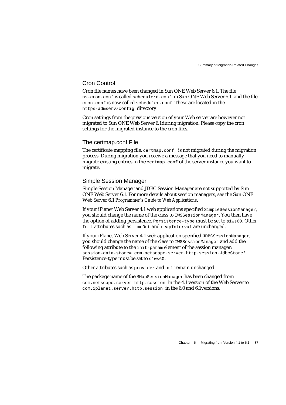#### <span id="page-86-6"></span><span id="page-86-0"></span>Cron Control

Cron file names have been changed in Sun ONE Web Server 6.1. The file ns-cron.conf is called schedulerd.conf in Sun ONE Web Server 6.1, and the file cron.conf is now called scheduler.conf. These are located in the https-admserv/config directory.

Cron settings from the previous version of your Web server are however not migrated to Sun ONE Web Server 6.1during migration. Please copy the cron settings for the migrated instance to the cron files.

#### <span id="page-86-5"></span><span id="page-86-1"></span>The certmap.conf File

The certificate mapping file, certmap.conf, is not migrated during the migration process. During migration you receive a message that you need to manually migrate existing entries in the certmap.conf of the server instance you want to migrate.

#### <span id="page-86-7"></span><span id="page-86-2"></span>Simple Session Manager

Simple Session Manager and JDBC Session Manager are not supported by Sun ONE Web Server 6.1. For more details about session managers, see the Sun ONE Web Server 6.1 *Programmer's Guide to Web Applications*.

If your iPlanet Web Server 4.1 web applications specified SimpleSessionManager, you should change the name of the class to IWSSessionManager. You then have the option of adding persistence. Persistence-type must be set to s1ws60. Other Init attributes such as timeOut and reapInterval are unchanged.

<span id="page-86-4"></span><span id="page-86-3"></span>If your iPlanet Web Server 4.1 web application specified JDBCSessionManager, you should change the name of the class to IWSSessionManager and add the following attribute to the init-param element of the session manager: session-data-store='com.netscape.server.http.session.JdbcStore'. Persistence-type must be set to s1ws60.

Other attributes such as provider and url remain unchanged.

<span id="page-86-8"></span>The package name of the MMapSessionManager has been changed from com.netscape.server.http.session in the 4.1 version of the Web Server to com.iplanet.server.http.session in the 6.0 and 6.1versions.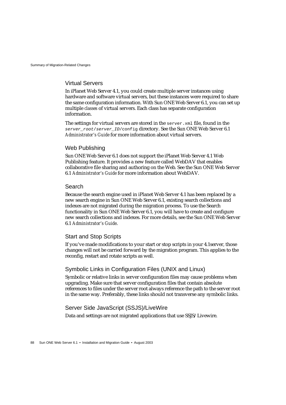#### <span id="page-87-6"></span><span id="page-87-4"></span>Virtual Servers

In iPlanet Web Server 4.1, you could create multiple server instances using hardware and software virtual servers, but these instances were required to share the same configuration information. With Sun ONE Web Server 6.1, you can set up multiple *classes* of virtual servers. Each class has separate configuration information.

The settings for virtual servers are stored in the  $s$ erver.  $x$ ml file, found in the server\_root/server\_ID/config directory. See the Sun ONE Web Server 6.1 *Administrator's Guide* for more information about virtual servers.

#### <span id="page-87-11"></span><span id="page-87-0"></span>Web Publishing

Sun ONE Web Server 6.1 does not support the iPlanet Web Server 4.1 Web Publishing feature. It provides a new feature called WebDAV that enables collaborative file sharing and authoring on the Web. See the Sun ONE Web Server 6.1 *Administrator's Guide* for more information about WebDAV.

#### <span id="page-87-8"></span><span id="page-87-1"></span>Search

Because the search engine used in iPlanet Web Server 4.1 has been replaced by a new search engine in Sun ONE Web Server 6.1, existing search collections and indexes are not migrated during the migration process. To use the Search functionality in Sun ONE Web Server 6.1, you will have to create and configure new search collections and indexes. For more details, see the Sun ONE Web Server 6.1 *Administrator's Guide*.

#### <span id="page-87-7"></span><span id="page-87-3"></span>Start and Stop Scripts

If you've made modifications to your start or stop scripts in your 4.1server, those changes will not be carried forward by the migration program. This applies to the reconfig, restart and rotate scripts as well.

#### <span id="page-87-10"></span><span id="page-87-5"></span>Symbolic Links in Configuration Files (UNIX and Linux)

Symbolic or relative links in server configuration files may cause problems when upgrading. Make sure that server configuration files that contain absolute references to files under the server root always reference the path to the server root in the same way. Preferably, these links should not transverse any symbolic links.

#### <span id="page-87-9"></span><span id="page-87-2"></span>Server Side JavaScript (SSJS)/LiveWire

Data and settings are not migrated applications that use SSJS/Livewire.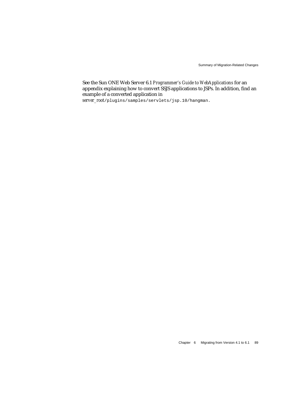#### See the Sun ONE Web Server 6.1 *Programmer's Guide to WebApplications* for an appendix explaining how to convert SSJS applications to JSPs. In addition, find an example of a converted application in

*server\_root*/plugins/samples/servlets/jsp.10/hangman.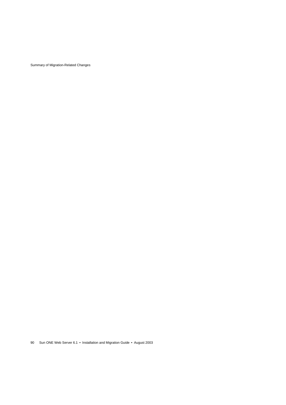Summary of Migration-Related Changes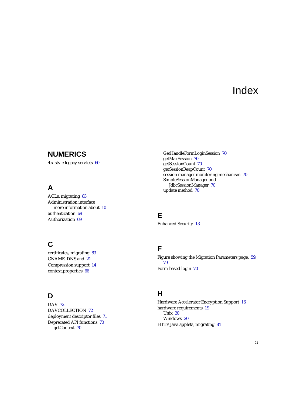# Index

## **NUMERICS**

4.x-style legacy servlets [60](#page-59-0)

## **A**

ACLs, migrating [83](#page-82-0) Administration interface more information about [10](#page-9-0) authentication [69](#page-68-0) Authorization [69](#page-68-1)

## **C**

certificates, migrating [83](#page-82-1) CNAME, DNS and [21](#page-20-0) Compression support [14](#page-13-0) context.properties [66](#page-65-0)

## **D**

DAV [72](#page-71-0) DAVCOLLECTION [72](#page-71-1) deployment descriptor files [71](#page-70-0) Deprecated API functions [70](#page-69-0) getContext [70](#page-69-1)

GetHandleFormLoginSession [70](#page-69-2) getMaxSession [70](#page-69-3) getSessionCount [70](#page-69-4) getSessionReapCount [70](#page-69-5) session manager monitoring mechanism [70](#page-69-6) SimpleSessionManager and JdbcSessionManager [70](#page-69-7) update method [70](#page-69-8)

#### **E**

Enhanced Security [13](#page-12-0)

## **F**

Figure showing the Migration Parameters page. [59,](#page-58-0) [79](#page-78-0) Form-based login [70](#page-69-9)

### **H**

Hardware Accelerator Encryption Support [16](#page-15-0) hardware requirements [19](#page-18-0) Unix [20](#page-19-0) Windows [20](#page-19-1) HTTP Java applets, migrating [84](#page-83-1)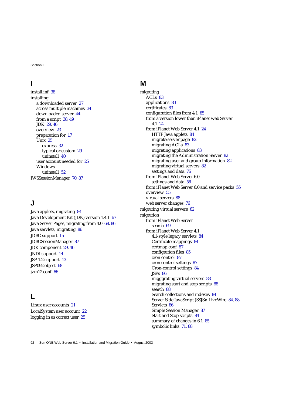## **I**

install inf [38](#page-37-0) installing a downloaded server [27](#page-26-0) across multiple machines [34](#page-33-0) downloaded server [44](#page-43-0) from a script [38,](#page-37-1) [49](#page-48-0) JDK [29](#page-28-0), [46](#page-45-0) overview [23](#page-22-0) preparation for [17](#page-16-0) Unix [25](#page-24-0) express [32](#page-31-0) typical or custom [29](#page-28-1) uninstall [40](#page-39-0) user account needed for [25](#page-24-1) Windows uninstall [52](#page-51-0) IWSSessionManager [70,](#page-69-10) [87](#page-86-3)

## **J**

Java applets, migrating [84](#page-83-1) Java Development Kit (JDK) version 1.4.1 [67](#page-66-0) Java Server Pages, migrating from 4.0 [68](#page-67-0), [86](#page-85-2) Java servlets, migrating [86](#page-85-3) JDBC support [15](#page-14-0) JDBCSessionManager [87](#page-86-4) JDK component [29,](#page-28-0) [46](#page-45-0) JNDI support [14](#page-13-1) JSP 1.2 support [13](#page-12-1) JSP092 object [68](#page-67-1) jvm12.conf [66](#page-65-1)

#### **L**

Linux user accounts [21](#page-20-1) LocalSystem user account [22](#page-21-0) logging in as correct user [25](#page-24-2)

## **M**

migrating ACLs [83](#page-82-0) applications [83](#page-82-2) certificates [83](#page-82-1) configuration files from 4.1 [85](#page-84-3) from a version lower than iPlanet web Server 4.1 [24](#page-23-0) from iPlanet Web Server 4.1 [24](#page-23-0) HTTP Java applets [84](#page-83-1) migrate server page [82](#page-81-0) migrating ACLs [83](#page-82-0) migrating applications [83](#page-82-2) migrating the Administration Server [82](#page-81-1) migrating user and group information [82](#page-81-2) migrating virtual servers [82](#page-81-3) settings and data [76](#page-75-1) from iPlanet Web Server 6.0 settings and data [56](#page-55-0) from iPlanet Web Server 6.0 and service packs [55](#page-54-0) overview [55](#page-54-1) virtual servers [88](#page-87-6) web server changes [76](#page-75-2) migrating virtual servers [82](#page-81-3) migration from iPlanet Web Server search [69](#page-68-2) from iPlanet Web Server 4.1 4.1-style legacy servlets [84](#page-83-2) Certificate mappings [84](#page-83-3) certmap.conf [87](#page-86-5) configration files [85](#page-84-3) cron control [87](#page-86-6) cron control settings [87](#page-86-6) Cron-control settings [84](#page-83-4) JSPs [86](#page-85-2) migggrating virtual servers [88](#page-87-6) migrating start and stop scripts [88](#page-87-7) search [88](#page-87-8) Search collections and indexes [84](#page-83-5) Server Side JavaScript (SSJS)/LiveWire [84](#page-83-6), [88](#page-87-9) Servlets [86](#page-85-3) Simple Session Manager [87](#page-86-7) Start and Stop scripts [84](#page-83-7) summary of changes in 6.1 [85](#page-84-4) symbolic links [71](#page-70-1), [88](#page-87-10)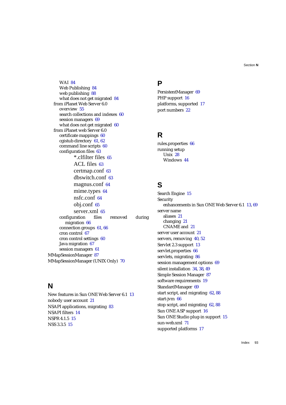WAI [84](#page-83-8) Web Publishing [84](#page-83-9) web publishing [88](#page-87-11) what does not get migrated [84](#page-83-10) from iPlanet Web Server 6.0 overview [55](#page-54-2) search collections and indexes [60](#page-59-1) session managers [69](#page-68-3) what does not get migrated [60](#page-59-2) from iPlanet web Server 6.0 certificate mappings [60](#page-59-3) cgistub directory [61](#page-60-0), [62](#page-61-0) command line scripts [60](#page-59-4) configuration files [63](#page-62-0) \*.clfilter files [65](#page-64-0) ACL files [63](#page-62-1) certmap.conf [63](#page-62-2) dbswitch.conf [63](#page-62-3) magnus.conf [64](#page-63-0) mime.types [64](#page-63-1) nsfc.conf [64](#page-63-2) obj.conf [65](#page-64-1) server.xml [65](#page-64-2) configuration files removed during migration [66](#page-65-2) connection groups [61,](#page-60-1) [66](#page-65-3) cron control [67](#page-66-1) cron control settings [60](#page-59-5) Java migration [67](#page-66-2) session managers [61](#page-60-2) MMapSessionManager [87](#page-86-8) MMapSessionManager (UNIX Only) [70](#page-69-11)

### **N**

New features in Sun ONE Web Server 6.1 [13](#page-12-2) nobody user account [21](#page-20-2) NSAPI applications, migrating [83](#page-82-3) NSAPI filters [14](#page-13-2) NSPR 4.1.5 [15](#page-14-1) NSS 3.3.5 [15](#page-14-2)

## **P**

PersistentManager [69](#page-68-4) PHP support [16](#page-15-1) platforms, supported [17](#page-16-1) port numbers [22](#page-21-1)

## **R**

rules.properties [66](#page-65-4) running setup Unix [28](#page-27-0) Windows [44](#page-43-1)

## **S**

Search Engine [15](#page-14-3) Security enhancements in Sun ONE Web Server 6.1 [13,](#page-12-0) [69](#page-68-5) server name aliases [21](#page-20-0) changing [21](#page-20-3) CNAME and [21](#page-20-0) server user account [21](#page-20-1) servers, removing [40](#page-39-0), [52](#page-51-0) Servlet 2.3 support [13](#page-12-3) servlet.properties [66](#page-65-5) servlets, migrating [86](#page-85-3) session management options [69](#page-68-6) silent installation [34](#page-33-1), [38,](#page-37-1) [49](#page-48-0) Simple Session Manager [87](#page-86-7) software requirements [19](#page-18-0) StandardManager [69](#page-68-7) start script, and migrating [62](#page-61-1), [88](#page-87-7) start-jvm [66](#page-65-6) stop script, and migrating [62,](#page-61-1) [88](#page-87-7) Sun ONE ASP support [16](#page-15-2) Sun ONE Studio plug-in support [15](#page-14-4) sun-web.xml [71](#page-70-2) supported platforms [17](#page-16-1)